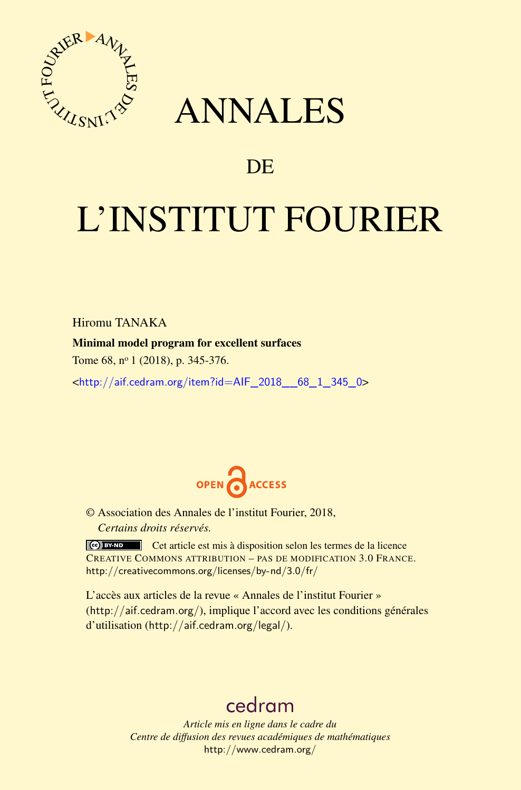

## ANNALES

### **DE**

# L'INSTITUT FOURIER

Hiromu TANAKA

#### Minimal model program for excellent surfaces

Tome 68, n<sup>o</sup> 1 (2018), p. 345-376.

<[http://aif.cedram.org/item?id=AIF\\_2018\\_\\_68\\_1\\_345\\_0](http://aif.cedram.org/item?id=AIF_2018__68_1_345_0)>



© Association des Annales de l'institut Fourier, 2018, *Certains droits réservés.*

Cet article est mis à disposition selon les termes de la licence CREATIVE COMMONS ATTRIBUTION – PAS DE MODIFICATION 3.0 FRANCE. <http://creativecommons.org/licenses/by-nd/3.0/fr/>

L'accès aux articles de la revue « Annales de l'institut Fourier » (<http://aif.cedram.org/>), implique l'accord avec les conditions générales d'utilisation (<http://aif.cedram.org/legal/>).

## [cedram](http://www.cedram.org/)

*Article mis en ligne dans le cadre du Centre de diffusion des revues académiques de mathématiques* <http://www.cedram.org/>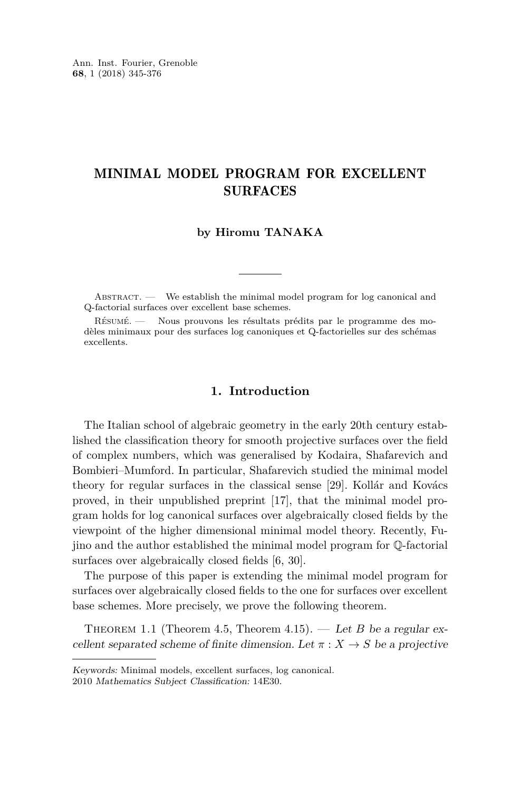#### MINIMAL MODEL PROGRAM FOR EXCELLENT SURFACES

#### **by Hiromu TANAKA**

Abstract. — We establish the minimal model program for log canonical and Q-factorial surfaces over excellent base schemes.

Résumé. — Nous prouvons les résultats prédits par le programme des modèles minimaux pour des surfaces log canoniques et Q-factorielles sur des schémas excellents.

#### **1. Introduction**

The Italian school of algebraic geometry in the early 20th century established the classification theory for smooth projective surfaces over the field of complex numbers, which was generalised by Kodaira, Shafarevich and Bombieri–Mumford. In particular, Shafarevich studied the minimal model theory for regular surfaces in the classical sense [\[29\]](#page-31-0). Kollár and Kovács proved, in their unpublished preprint [\[17\]](#page-31-1), that the minimal model program holds for log canonical surfaces over algebraically closed fields by the viewpoint of the higher dimensional minimal model theory. Recently, Fujino and the author established the minimal model program for Q-factorial surfaces over algebraically closed fields [\[6,](#page-30-0) [30\]](#page-31-2).

The purpose of this paper is extending the minimal model program for surfaces over algebraically closed fields to the one for surfaces over excellent base schemes. More precisely, we prove the following theorem.

<span id="page-1-0"></span>THEOREM 1.1 (Theorem [4.5,](#page-22-0) Theorem [4.15\)](#page-26-0). — Let *B* be a regular excellent separated scheme of finite dimension. Let  $\pi$  :  $X \to S$  be a projective

Keywords: Minimal models, excellent surfaces, log canonical. 2010 Mathematics Subject Classification: 14E30.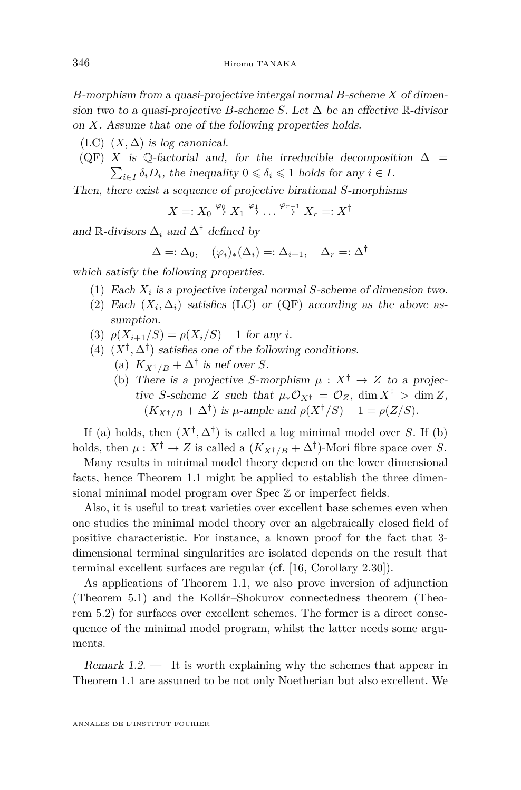*B*-morphism from a quasi-projective intergal normal *B*-scheme *X* of dimension two to a quasi-projective *B*-scheme *S*. Let  $\Delta$  be an effective  $\mathbb{R}$ -divisor on *X*. Assume that one of the following properties holds.

- <span id="page-2-0"></span>(LC)  $(X, \Delta)$  is log canonical.
- <span id="page-2-1"></span>(QF) *X* is Q-factorial and, for the irreducible decomposition  $\Delta$  =  $\sum_{i \in I} \delta_i D_i$ , the inequality  $0 \le \delta_i \le 1$  holds for any  $i \in I$ .

Then, there exist a sequence of projective birational *S*-morphisms

 $X =: X_0 \overset{\varphi_0}{\to} X_1 \overset{\varphi_1}{\to} \dots \overset{\varphi_{r-1}}{\to} X_r =: X^{\dagger}$ 

and  $\mathbb{R}$ -divisors  $\Delta_i$  and  $\Delta^{\dagger}$  defined by

$$
\Delta =: \Delta_0, \quad (\varphi_i)_*(\Delta_i) =: \Delta_{i+1}, \quad \Delta_r =: \Delta^{\dagger}
$$

which satisfy the following properties.

- (1) Each  $X_i$  is a projective intergal normal *S*-scheme of dimension two.
- (2) Each  $(X_i, \Delta_i)$  satisfies [\(LC\)](#page-2-0) or [\(QF\)](#page-2-1) according as the above assumption.
- (3)  $\rho(X_{i+1}/S) = \rho(X_i/S) 1$  for any *i*.
- (4)  $(X^{\dagger}, \Delta^{\dagger})$  satisfies one of the following conditions.
	- (a)  $K_{X^{\dagger}/B} + \Delta^{\dagger}$  is nef over *S*.
	- (b) There is a projective *S*-morphism  $\mu : X^{\dagger} \rightarrow Z$  to a projective *S*-scheme *Z* such that  $\mu_* \mathcal{O}_{X^{\dagger}} = \mathcal{O}_Z$ , dim  $X^{\dagger} > \dim Z$ ,  $-(K_{X^{\dagger}/B} + \Delta^{\dagger})$  is *µ*-ample and  $\rho(X^{\dagger}/S) - 1 = \rho(Z/S)$ .

If (a) holds, then  $(X^{\dagger}, \Delta^{\dagger})$  is called a log minimal model over *S*. If (b) holds, then  $\mu: X^{\dagger} \to Z$  is called a  $(K_{X^{\dagger}/B} + \Delta^{\dagger})$ -Mori fibre space over *S*.

Many results in minimal model theory depend on the lower dimensional facts, hence Theorem [1.1](#page-1-0) might be applied to establish the three dimensional minimal model program over Spec  $\mathbb Z$  or imperfect fields.

Also, it is useful to treat varieties over excellent base schemes even when one studies the minimal model theory over an algebraically closed field of positive characteristic. For instance, a known proof for the fact that 3 dimensional terminal singularities are isolated depends on the result that terminal excellent surfaces are regular (cf. [\[16,](#page-31-3) Corollary 2.30]).

As applications of Theorem [1.1,](#page-1-0) we also prove inversion of adjunction (Theorem [5.1\)](#page-27-0) and the Kollár–Shokurov connectedness theorem (Theorem [5.2\)](#page-28-0) for surfaces over excellent schemes. The former is a direct consequence of the minimal model program, whilst the latter needs some arguments.

Remark  $1.2$ . It is worth explaining why the schemes that appear in Theorem [1.1](#page-1-0) are assumed to be not only Noetherian but also excellent. We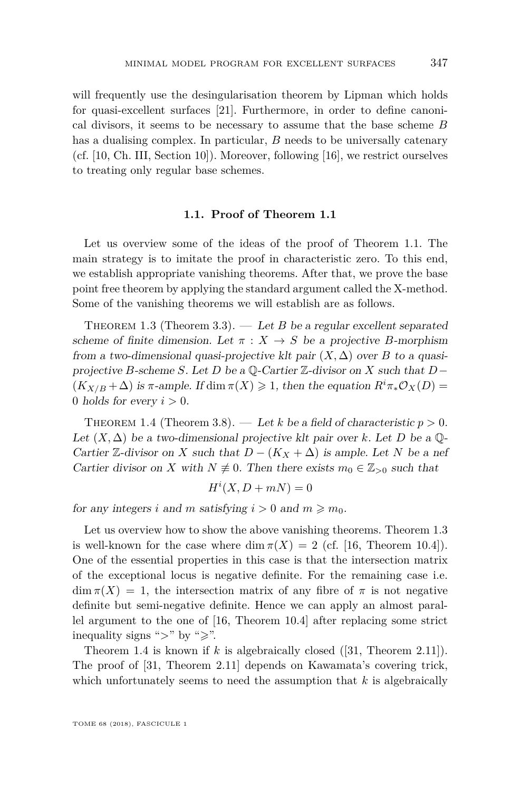will frequently use the desingularisation theorem by Lipman which holds for quasi-excellent surfaces [\[21\]](#page-31-4). Furthermore, in order to define canonical divisors, it seems to be necessary to assume that the base scheme *B* has a dualising complex. In particular, *B* needs to be universally catenary (cf. [\[10,](#page-30-1) Ch. III, Section 10]). Moreover, following [\[16\]](#page-31-3), we restrict ourselves to treating only regular base schemes.

#### **1.1. Proof of Theorem [1.1](#page-1-0)**

<span id="page-3-2"></span>Let us overview some of the ideas of the proof of Theorem [1.1.](#page-1-0) The main strategy is to imitate the proof in characteristic zero. To this end, we establish appropriate vanishing theorems. After that, we prove the base point free theorem by applying the standard argument called the X-method. Some of the vanishing theorems we will establish are as follows.

<span id="page-3-0"></span>THEOREM 1.3 (Theorem [3.3\)](#page-15-0).  $-$  Let *B* be a regular excellent separated scheme of finite dimension. Let  $\pi$  :  $X \to S$  be a projective *B*-morphism from a two-dimensional quasi-projective klt pair  $(X, \Delta)$  over *B* to a quasiprojective *B*-scheme *S*. Let *D* be a Q-Cartier Z-divisor on *X* such that *D*−  $(K_{X/B} + \Delta)$  is  $\pi$ -ample. If dim  $\pi(X) \geq 1$ , then the equation  $R^i \pi_* \mathcal{O}_X(D) =$ 0 holds for every  $i > 0$ .

<span id="page-3-1"></span>THEOREM 1.4 (Theorem [3.8\)](#page-18-0). — Let k be a field of characteristic  $p > 0$ . Let  $(X, \Delta)$  be a two-dimensional projective klt pair over *k*. Let *D* be a  $\mathbb{Q}$ -Cartier  $\mathbb{Z}$ -divisor on *X* such that  $D - (K_X + \Delta)$  is ample. Let *N* be a nef Cartier divisor on *X* with  $N \neq 0$ . Then there exists  $m_0 \in \mathbb{Z}_{>0}$  such that

$$
H^i(X, D + mN) = 0
$$

for any integers *i* and *m* satisfying  $i > 0$  and  $m \ge m_0$ .

Let us overview how to show the above vanishing theorems. Theorem [1.3](#page-3-0) is well-known for the case where  $\dim \pi(X) = 2$  (cf. [\[16,](#page-31-3) Theorem 10.4]). One of the essential properties in this case is that the intersection matrix of the exceptional locus is negative definite. For the remaining case i.e.  $\dim \pi(X) = 1$ , the intersection matrix of any fibre of  $\pi$  is not negative definite but semi-negative definite. Hence we can apply an almost parallel argument to the one of [\[16,](#page-31-3) Theorem 10.4] after replacing some strict inequality signs ">" by " $\geq$ ".

Theorem [1.4](#page-3-1) is known if *k* is algebraically closed ([\[31,](#page-31-5) Theorem 2.11]). The proof of [\[31,](#page-31-5) Theorem 2.11] depends on Kawamata's covering trick, which unfortunately seems to need the assumption that *k* is algebraically

TOME 68 (2018), FASCICULE 1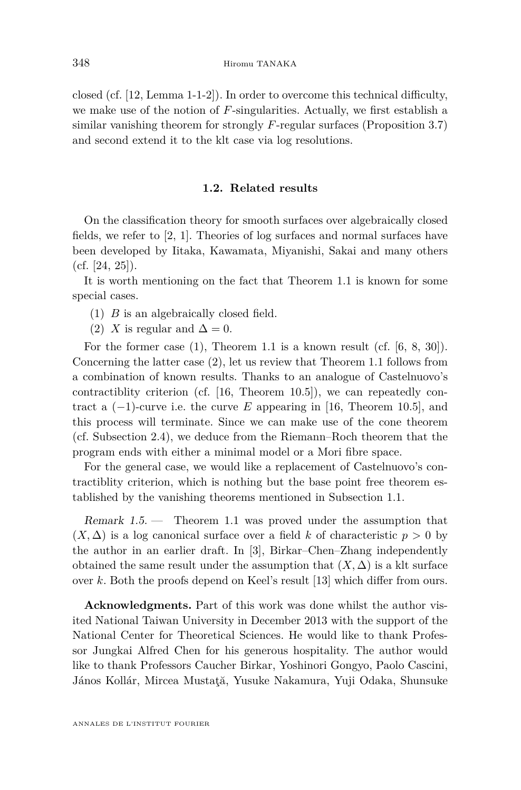closed (cf. [\[12,](#page-31-6) Lemma 1-1-2]). In order to overcome this technical difficulty, we make use of the notion of *F*-singularities. Actually, we first establish a similar vanishing theorem for strongly *F*-regular surfaces (Proposition [3.7\)](#page-17-0) and second extend it to the klt case via log resolutions.

#### **1.2. Related results**

On the classification theory for smooth surfaces over algebraically closed fields, we refer to [\[2,](#page-30-2) [1\]](#page-30-3). Theories of log surfaces and normal surfaces have been developed by Iitaka, Kawamata, Miyanishi, Sakai and many others  $(cf. [24, 25]).$  $(cf. [24, 25]).$  $(cf. [24, 25]).$  $(cf. [24, 25]).$  $(cf. [24, 25]).$ 

It is worth mentioning on the fact that Theorem [1.1](#page-1-0) is known for some special cases.

- <span id="page-4-0"></span>(1) *B* is an algebraically closed field.
- <span id="page-4-1"></span>(2) *X* is regular and  $\Delta = 0$ .

For the former case [\(1\)](#page-4-0), Theorem [1.1](#page-1-0) is a known result (cf. [\[6,](#page-30-0) [8,](#page-30-4) [30\]](#page-31-2)). Concerning the latter case [\(2\)](#page-4-1), let us review that Theorem [1.1](#page-1-0) follows from a combination of known results. Thanks to an analogue of Castelnuovo's contractiblity criterion (cf. [\[16,](#page-31-3) Theorem 10.5]), we can repeatedly contract a  $(-1)$ -curve i.e. the curve E appearing in [\[16,](#page-31-3) Theorem 10.5], and this process will terminate. Since we can make use of the cone theorem (cf. Subsection [2.4\)](#page-11-0), we deduce from the Riemann–Roch theorem that the program ends with either a minimal model or a Mori fibre space.

For the general case, we would like a replacement of Castelnuovo's contractiblity criterion, which is nothing but the base point free theorem established by the vanishing theorems mentioned in Subsection [1.1.](#page-3-2)

Remark 1.5. — Theorem [1.1](#page-1-0) was proved under the assumption that  $(X, \Delta)$  is a log canonical surface over a field *k* of characteristic  $p > 0$  by the author in an earlier draft. In [\[3\]](#page-30-5), Birkar–Chen–Zhang independently obtained the same result under the assumption that  $(X, \Delta)$  is a klt surface over *k*. Both the proofs depend on Keel's result [\[13\]](#page-31-9) which differ from ours.

**Acknowledgments.** Part of this work was done whilst the author visited National Taiwan University in December 2013 with the support of the National Center for Theoretical Sciences. He would like to thank Professor Jungkai Alfred Chen for his generous hospitality. The author would like to thank Professors Caucher Birkar, Yoshinori Gongyo, Paolo Cascini, János Kollár, Mircea Mustaţă, Yusuke Nakamura, Yuji Odaka, Shunsuke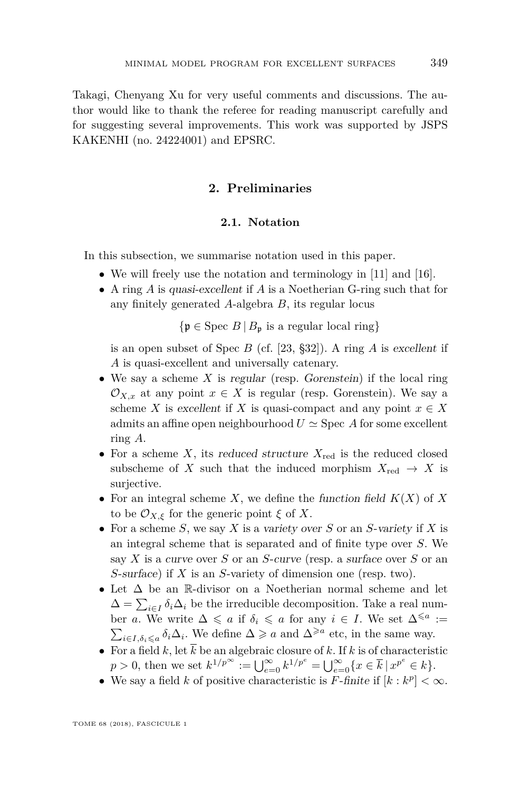Takagi, Chenyang Xu for very useful comments and discussions. The author would like to thank the referee for reading manuscript carefully and for suggesting several improvements. This work was supported by JSPS KAKENHI (no. 24224001) and EPSRC.

#### **2. Preliminaries**

#### **2.1. Notation**

In this subsection, we summarise notation used in this paper.

- We will freely use the notation and terminology in [\[11\]](#page-30-6) and [\[16\]](#page-31-3).
- A ring *A* is quasi-excellent if *A* is a Noetherian G-ring such that for any finitely generated *A*-algebra *B*, its regular locus

 ${\mathfrak{p} \in \text{Spec } B \mid B_{\mathfrak{p}}}$  is a regular local ring}

is an open subset of Spec *B* (cf. [\[23,](#page-31-10) §32]). A ring *A* is excellent if *A* is quasi-excellent and universally catenary.

- We say a scheme  $X$  is regular (resp. Gorenstein) if the local ring  $\mathcal{O}_{X,x}$  at any point  $x \in X$  is regular (resp. Gorenstein). We say a scheme *X* is excellent if *X* is quasi-compact and any point  $x \in X$ admits an affine open neighbourhood  $U \simeq$  Spec A for some excellent ring *A*.
- For a scheme  $X$ , its reduced structure  $X_{\text{red}}$  is the reduced closed subscheme of *X* such that the induced morphism  $X_{\text{red}} \to X$  is surjective.
- For an integral scheme  $X$ , we define the function field  $K(X)$  of  $X$ to be  $\mathcal{O}_{X,\xi}$  for the generic point  $\xi$  of X.
- For a scheme *S*, we say *X* is a variety over *S* or an *S*-variety if *X* is an integral scheme that is separated and of finite type over *S*. We say *X* is a curve over *S* or an *S*-curve (resp. a surface over *S* or an *S*-surface) if *X* is an *S*-variety of dimension one (resp. two).
- Let ∆ be an R-divisor on a Noetherian normal scheme and let  $\Delta = \sum_{i \in I} \delta_i \Delta_i$  be the irreducible decomposition. Take a real number *a*. We write  $\Delta \leq a$  if  $\delta_i \leq a$  for any  $i \in I$ . We set  $\Delta^{\leq a} :=$  $\sum_{i \in I, \delta_i \leq a} \delta_i \Delta_i$ . We define  $\Delta \geq a$  and  $\Delta^{\geq a}$  etc, in the same way.
- For a field  $k$ , let  $\overline{k}$  be an algebraic closure of  $k$ . If  $k$  is of characteristic  $p > 0$ , then we set  $k^{1/p^{\infty}} := \bigcup_{e=0}^{\infty} k^{1/p^e} = \bigcup_{e=0}^{\infty} \{x \in \overline{k} \mid x^{p^e} \in k\}.$
- We say a field *k* of positive characteristic is *F*-finite if  $[k : k^p] < \infty$ .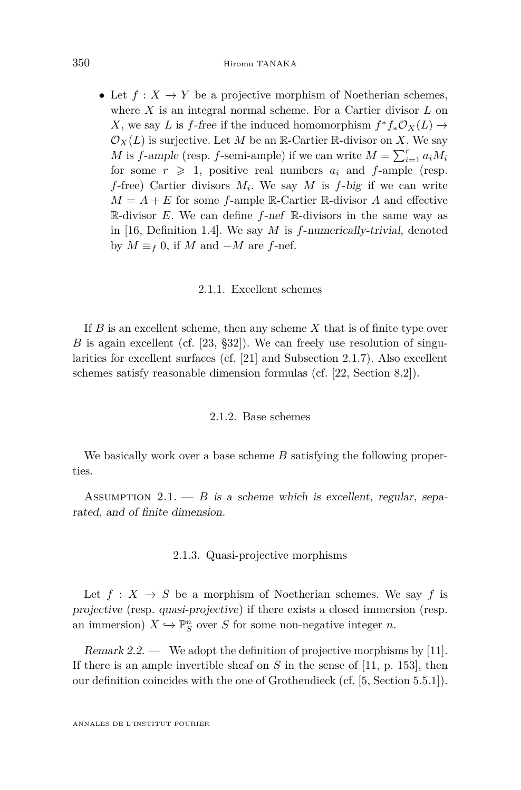• Let  $f: X \to Y$  be a projective morphism of Noetherian schemes, where *X* is an integral normal scheme. For a Cartier divisor *L* on *X*, we say *L* is *f*-free if the induced homomorphism  $f^* f_* \mathcal{O}_X(L) \to$  $\mathcal{O}_X(L)$  is surjective. Let M be an R-Cartier R-divisor on X. We say *M* is *f*-ample (resp. *f*-semi-ample) if we can write  $M = \sum_{i=1}^{r} a_i M_i$ for some  $r \geq 1$ , positive real numbers  $a_i$  and *f*-ample (resp. *f*-free) Cartier divisors *M<sup>i</sup>* . We say *M* is *f*-big if we can write  $M = A + E$  for some *f*-ample R-Cartier R-divisor *A* and effective R-divisor *E*. We can define *f*-nef R-divisors in the same way as in [\[16,](#page-31-3) Definition 1.4]. We say *M* is *f*-numerically-trivial, denoted by  $M \equiv_f 0$ , if  $M$  and  $-M$  are  $f$ -nef.

#### 2.1.1. Excellent schemes

If *B* is an excellent scheme, then any scheme *X* that is of finite type over *B* is again excellent (cf. [\[23,](#page-31-10) §32]). We can freely use resolution of singularities for excellent surfaces (cf. [\[21\]](#page-31-4) and Subsection [2.1.7\)](#page-8-0). Also excellent schemes satisfy reasonable dimension formulas (cf. [\[22,](#page-31-11) Section 8.2]).

#### 2.1.2. Base schemes

We basically work over a base scheme *B* satisfying the following properties.

<span id="page-6-0"></span>ASSUMPTION 2.1.  $-$  *B* is a scheme which is excellent, regular, separated, and of finite dimension.

#### 2.1.3. Quasi-projective morphisms

Let  $f: X \to S$  be a morphism of Noetherian schemes. We say f is projective (resp. quasi-projective) if there exists a closed immersion (resp. an immersion)  $X \hookrightarrow \mathbb{P}_{S}^{n}$  over *S* for some non-negative integer *n*.

Remark 2.2. — We adopt the definition of projective morphisms by [\[11\]](#page-30-6). If there is an ample invertible sheaf on *S* in the sense of [\[11,](#page-30-6) p. 153], then our definition coincides with the one of Grothendieck (cf. [\[5,](#page-30-7) Section 5.5.1]).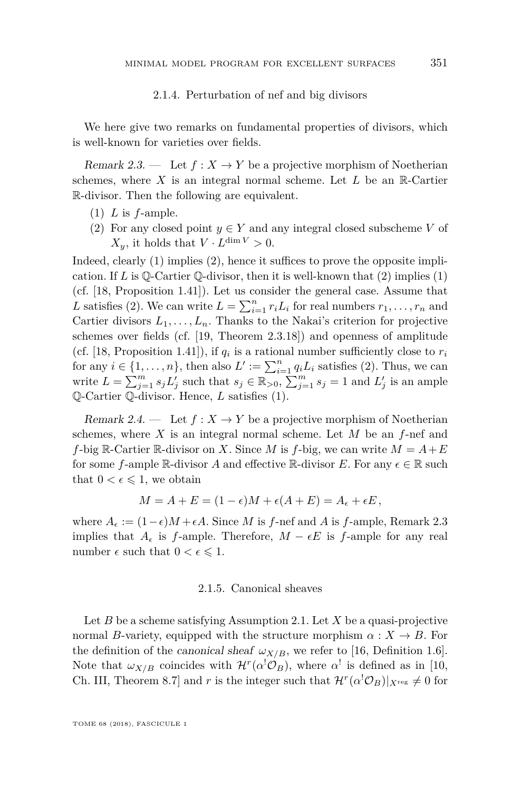#### 2.1.4. Perturbation of nef and big divisors

We here give two remarks on fundamental properties of divisors, which is well-known for varieties over fields.

<span id="page-7-2"></span>Remark 2.3. — Let  $f: X \to Y$  be a projective morphism of Noetherian schemes, where  $X$  is an integral normal scheme. Let  $L$  be an  $\mathbb{R}$ -Cartier R-divisor. Then the following are equivalent.

- <span id="page-7-0"></span>(1) *L* is *f*-ample.
- <span id="page-7-1"></span>(2) For any closed point  $y \in Y$  and any integral closed subscheme *V* of  $X_y$ , it holds that  $V \cdot L^{\dim V} > 0$ .

Indeed, clearly [\(1\)](#page-7-0) implies [\(2\)](#page-7-1), hence it suffices to prove the opposite implication. If *L* is  $\mathbb{Q}$ -Cartier  $\mathbb{Q}$ -divisor, then it is well-known that [\(2\)](#page-7-1) implies [\(1\)](#page-7-0) (cf. [\[18,](#page-31-12) Proposition 1.41]). Let us consider the general case. Assume that *L* satisfies [\(2\)](#page-7-1). We can write  $L = \sum_{i=1}^{n} r_i L_i$  for real numbers  $r_1, \ldots, r_n$  and Cartier divisors  $L_1, \ldots, L_n$ . Thanks to the Nakai's criterion for projective schemes over fields (cf. [\[19,](#page-31-13) Theorem 2.3.18]) and openness of amplitude (cf. [\[18,](#page-31-12) Proposition 1.41]), if  $q_i$  is a rational number sufficiently close to  $r_i$ for any  $i \in \{1, \ldots, n\}$ , then also  $L' := \sum_{i=1}^{n} q_i L_i$  satisfies [\(2\)](#page-7-1). Thus, we can write  $L = \sum_{j=1}^{m} s_j L'_j$  such that  $s_j \in \mathbb{R}_{>0}$ ,  $\sum_{j=1}^{m} s_j = 1$  and  $L'_j$  is an ample Q-Cartier Q-divisor. Hence, *L* satisfies [\(1\)](#page-7-0).

<span id="page-7-3"></span>Remark 2.4. — Let  $f: X \to Y$  be a projective morphism of Noetherian schemes, where *X* is an integral normal scheme. Let *M* be an *f*-nef and *f*-big R-Cartier R-divisor on *X*. Since *M* is *f*-big, we can write  $M = A + E$ for some *f*-ample R-divisor *A* and effective R-divisor *E*. For any  $\epsilon \in \mathbb{R}$  such that  $0 < \epsilon \leq 1$ , we obtain

$$
M = A + E = (1 - \epsilon)M + \epsilon(A + E) = A_{\epsilon} + \epsilon E,
$$

where  $A_{\epsilon} := (1 - \epsilon)M + \epsilon A$ . Since *M* is *f*-nef and *A* is *f*-ample, Remark [2.3](#page-7-2) implies that  $A_{\epsilon}$  is *f*-ample. Therefore,  $M - \epsilon E$  is *f*-ample for any real number  $\epsilon$  such that  $0 < \epsilon \leq 1$ .

#### 2.1.5. Canonical sheaves

Let *B* be a scheme satisfying Assumption [2.1.](#page-6-0) Let *X* be a quasi-projective normal *B*-variety, equipped with the structure morphism  $\alpha : X \to B$ . For the definition of the canonical sheaf  $\omega_{X/B}$ , we refer to [\[16,](#page-31-3) Definition 1.6]. Note that  $\omega_{X/B}$  coincides with  $\mathcal{H}^r(\alpha^!\mathcal{O}_B)$ , where  $\alpha^!$  is defined as in [\[10,](#page-30-1) Ch. III, Theorem 8.7] and *r* is the integer such that  $\mathcal{H}^r(\alpha^{\dagger}\mathcal{O}_B)|_{X^{\text{reg}}} \neq 0$  for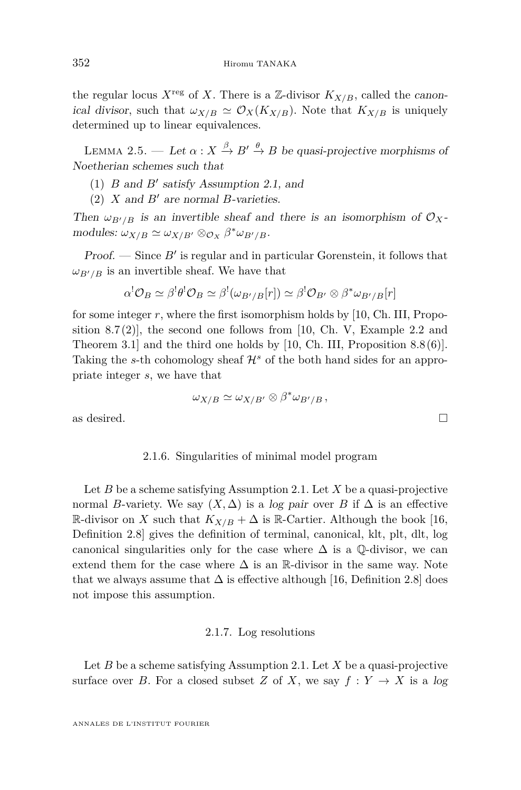the regular locus  $X^{\text{reg}}$  of X. There is a Z-divisor  $K_{X/B}$ , called the canonical divisor, such that  $\omega_{X/B} \simeq \mathcal{O}_X(K_{X/B})$ . Note that  $K_{X/B}$  is uniquely determined up to linear equivalences.

<span id="page-8-1"></span>LEMMA 2.5. — Let  $\alpha: X \stackrel{\beta}{\to} B' \stackrel{\theta}{\to} B$  be quasi-projective morphisms of Noetherian schemes such that

- (1)  $B$  and  $B'$  satisfy Assumption [2.1,](#page-6-0) and
- (2)  $X$  and  $B'$  are normal *B*-varieties.

Then  $\omega_{B'/B}$  is an invertible sheaf and there is an isomorphism of  $\mathcal{O}_X$ - $\text{modules: } \omega_{X/B} \simeq \omega_{X/B'} \otimes_{\mathcal{O}_X} \beta^* \omega_{B'/B}.$ 

**Proof.**  $\rightarrow$  Since  $B'$  is regular and in particular Gorenstein, it follows that  $\omega_{B'/B}$  is an invertible sheaf. We have that

$$
\alpha^!{\cal O}_B\simeq\beta^!\theta^!{\cal O}_B\simeq\beta^!(\omega_{B'/B}[r])\simeq\beta^!{\cal O}_{B'}\otimes\beta^*\omega_{B'/B}[r]
$$

for some integer *r*, where the first isomorphism holds by [\[10,](#page-30-1) Ch. III, Propo-sition 8.7(2)], the second one follows from [\[10,](#page-30-1) Ch. V, Example 2.2 and Theorem 3.1] and the third one holds by [\[10,](#page-30-1) Ch. III, Proposition 8.8 (6)]. Taking the *s*-th cohomology sheaf  $\mathcal{H}^s$  of the both hand sides for an appropriate integer *s*, we have that

$$
\omega_{X/B} \simeq \omega_{X/B'} \otimes \beta^* \omega_{B'/B},
$$

as desired.  $\Box$ 

#### 2.1.6. Singularities of minimal model program

Let *B* be a scheme satisfying Assumption [2.1.](#page-6-0) Let *X* be a quasi-projective normal *B*-variety. We say  $(X, \Delta)$  is a log pair over *B* if  $\Delta$  is an effective R-divisor on *X* such that  $K_{X/B} + \Delta$  is R-Cartier. Although the book [\[16,](#page-31-3) Definition 2.8] gives the definition of terminal, canonical, klt, plt, dlt, log canonical singularities only for the case where  $\Delta$  is a  $\mathbb{Q}$ -divisor, we can extend them for the case where  $\Delta$  is an R-divisor in the same way. Note that we always assume that  $\Delta$  is effective although [\[16,](#page-31-3) Definition 2.8] does not impose this assumption.

#### 2.1.7. Log resolutions

<span id="page-8-0"></span>Let *B* be a scheme satisfying Assumption [2.1.](#page-6-0) Let *X* be a quasi-projective surface over *B*. For a closed subset *Z* of *X*, we say  $f: Y \to X$  is a log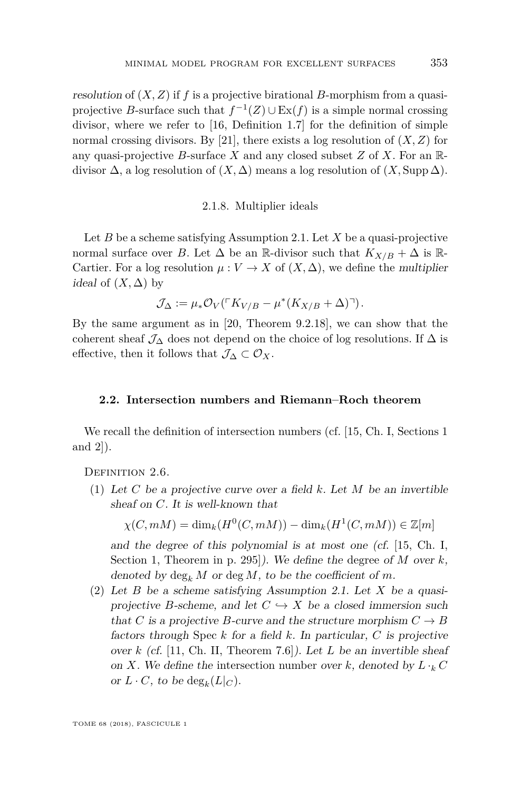resolution of (*X, Z*) if *f* is a projective birational *B*-morphism from a quasiprojective *B*-surface such that  $f^{-1}(Z) \cup Ex(f)$  is a simple normal crossing divisor, where we refer to [\[16,](#page-31-3) Definition 1.7] for the definition of simple normal crossing divisors. By [\[21\]](#page-31-4), there exists a log resolution of  $(X, Z)$  for any quasi-projective *B*-surface *X* and any closed subset *Z* of *X*. For an Rdivisor  $\Delta$ , a log resolution of  $(X, \Delta)$  means a log resolution of  $(X, \text{Supp }\Delta)$ .

#### 2.1.8. Multiplier ideals

Let *B* be a scheme satisfying Assumption [2.1.](#page-6-0) Let *X* be a quasi-projective normal surface over *B*. Let  $\Delta$  be an R-divisor such that  $K_{X/B} + \Delta$  is R-Cartier. For a log resolution  $\mu: V \to X$  of  $(X, \Delta)$ , we define the multiplier ideal of  $(X, \Delta)$  by

$$
\mathcal{J}_{\Delta} := \mu_* \mathcal{O}_V(\ulcorner K_{V/B} - \mu^* (K_{X/B} + \Delta) \urcorner).
$$

By the same argument as in [\[20,](#page-31-14) Theorem 9.2.18], we can show that the coherent sheaf  $\mathcal{J}_\Delta$  does not depend on the choice of log resolutions. If  $\Delta$  is effective, then it follows that  $\mathcal{J}_\Delta \subset \mathcal{O}_X$ .

#### **2.2. Intersection numbers and Riemann–Roch theorem**

We recall the definition of intersection numbers (cf. [\[15,](#page-31-15) Ch. I, Sections 1 and 2]).

<span id="page-9-1"></span><span id="page-9-0"></span>DEFINITION 2.6.

(1) Let *C* be a projective curve over a field *k*. Let *M* be an invertible sheaf on *C*. It is well-known that

 $\chi(C, mM) = \dim_k(H^0(C, mM)) - \dim_k(H^1(C, mM)) \in \mathbb{Z}[m]$ 

and the degree of this polynomial is at most one (cf. [\[15,](#page-31-15) Ch. I, Section 1, Theorem in p. 295]). We define the degree of *M* over *k*, denoted by  $\deg_k M$  or  $\deg M$ , to be the coefficient of m.

(2) Let *B* be a scheme satisfying Assumption [2.1.](#page-6-0) Let *X* be a quasiprojective *B*-scheme, and let  $C \hookrightarrow X$  be a closed immersion such that *C* is a projective *B*-curve and the structure morphism  $C \rightarrow B$ factors through Spec *k* for a field *k*. In particular, *C* is projective over *k* (cf. [\[11,](#page-30-6) Ch. II, Theorem 7.6]). Let *L* be an invertible sheaf on *X*. We define the intersection number over *k*, denoted by  $L \cdot_k C$ or  $L \cdot C$ , to be  $deg_k(L|_C)$ .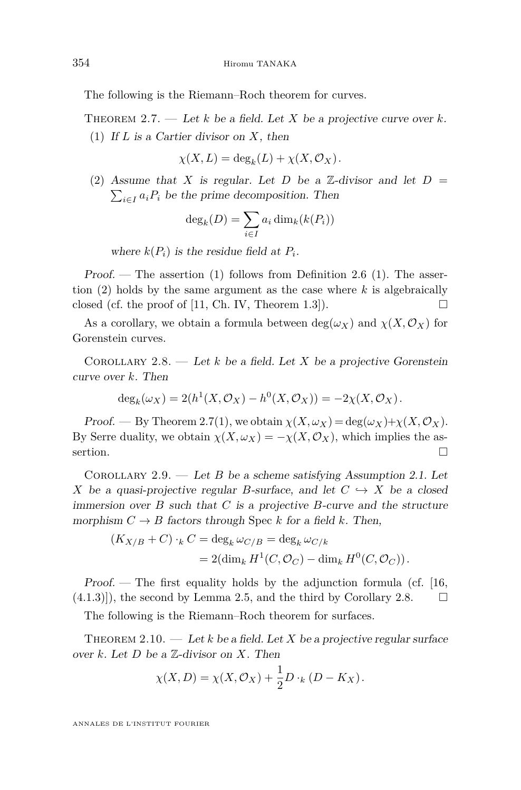The following is the Riemann–Roch theorem for curves.

<span id="page-10-2"></span><span id="page-10-0"></span>THEOREM 2.7. — Let  $k$  be a field. Let  $X$  be a projective curve over  $k$ . (1) If *L* is a Cartier divisor on *X*, then

$$
\chi(X, L) = \deg_k(L) + \chi(X, \mathcal{O}_X).
$$

<span id="page-10-1"></span>(2) Assume that *X* is regular. Let *D* be a  $\mathbb{Z}$ -divisor and let *D* =  $\sum_{i \in I} a_i P_i$  be the prime decomposition. Then

$$
\deg_k(D) = \sum_{i \in I} a_i \dim_k(k(P_i))
$$

where  $k(P_i)$  is the residue field at  $P_i$ .

Proof. — The assertion  $(1)$  follows from Definition [2.6](#page-9-0)  $(1)$ . The assertion [\(2\)](#page-10-1) holds by the same argument as the case where *k* is algebraically closed (cf. the proof of [\[11,](#page-30-6) Ch. IV, Theorem 1.3]).

As a corollary, we obtain a formula between  $deg(\omega_X)$  and  $\chi(X, \mathcal{O}_X)$  for Gorenstein curves.

<span id="page-10-3"></span>COROLLARY 2.8. — Let  $k$  be a field. Let  $X$  be a projective Gorenstein curve over *k*. Then

$$
\deg_k(\omega_X) = 2(h^1(X, \mathcal{O}_X) - h^0(X, \mathcal{O}_X)) = -2\chi(X, \mathcal{O}_X).
$$

Proof. — By Theorem [2.7](#page-10-2)[\(1\)](#page-10-0), we obtain  $\chi(X, \omega_X) = \deg(\omega_X) + \chi(X, \mathcal{O}_X)$ . By Serre duality, we obtain  $\chi(X, \omega_X) = -\chi(X, \mathcal{O}_X)$ , which implies the assertion.  $\Box$ 

<span id="page-10-4"></span>COROLLARY 2.9. — Let *B* be a scheme satisfying Assumption [2.1.](#page-6-0) Let *X* be a quasi-projective regular *B*-surface, and let  $C \rightarrow X$  be a closed immersion over  $B$  such that  $C$  is a projective  $B$ -curve and the structure morphism  $C \to B$  factors through Spec *k* for a field *k*. Then,

$$
(K_{X/B} + C) \cdot_k C = \deg_k \omega_{C/B} = \deg_k \omega_{C/k}
$$
  
= 2( $\dim_k H^1(C, \mathcal{O}_C) - \dim_k H^0(C, \mathcal{O}_C)$ ).

Proof.  $\sim$  The first equality holds by the adjunction formula (cf. [\[16,](#page-31-3)  $(4.1.3)$ , the second by Lemma [2.5,](#page-8-1) and the third by Corollary [2.8.](#page-10-3)  $\Box$ 

The following is the Riemann–Roch theorem for surfaces.

<span id="page-10-5"></span>THEOREM 2.10. — Let k be a field. Let X be a projective regular surface over *k*. Let *D* be a Z-divisor on *X*. Then

$$
\chi(X,D) = \chi(X,\mathcal{O}_X) + \frac{1}{2}D \cdot_k (D - K_X).
$$

ANNALES DE L'INSTITUT FOURIER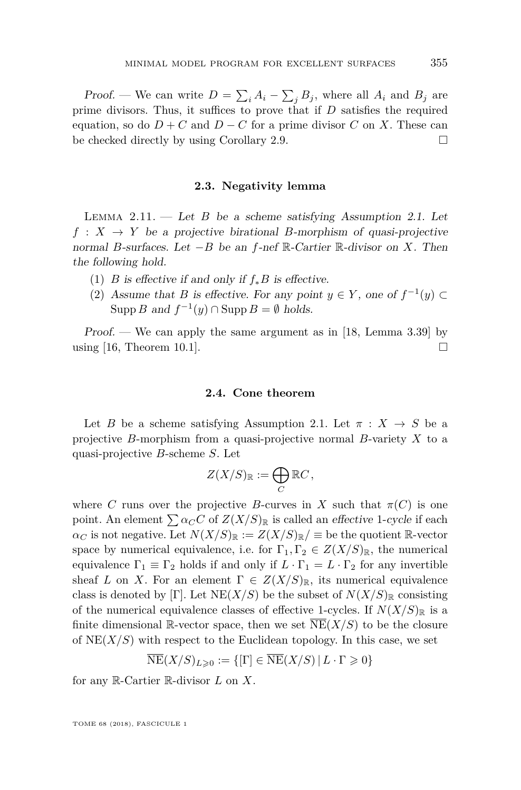Proof. — We can write  $D = \sum_i A_i - \sum_j B_j$ , where all  $A_i$  and  $B_j$  are prime divisors. Thus, it suffices to prove that if *D* satisfies the required equation, so do  $D + C$  and  $D - C$  for a prime divisor *C* on *X*. These can be checked directly by using Corollary [2.9.](#page-10-4)

#### **2.3. Negativity lemma**

<span id="page-11-1"></span>Lemma 2.11. — Let *B* be a scheme satisfying Assumption [2.1.](#page-6-0) Let  $f: X \rightarrow Y$  be a projective birational *B*-morphism of quasi-projective normal *B*-surfaces. Let −*B* be an *f*-nef R-Cartier R-divisor on *X*. Then the following hold.

- (1) *B* is effective if and only if  $f_*B$  is effective.
- (2) Assume that *B* is effective. For any point  $y \in Y$ , one of  $f^{-1}(y) \subset$ Supp *B* and  $f^{-1}(y) \cap \text{Supp } B = \emptyset$  holds.

Proof. — We can apply the same argument as in  $[18, \text{ Lemma } 3.39]$  $[18, \text{ Lemma } 3.39]$  by using [\[16,](#page-31-3) Theorem 10.1].

#### **2.4. Cone theorem**

<span id="page-11-0"></span>Let *B* be a scheme satisfying Assumption [2.1.](#page-6-0) Let  $\pi : X \to S$  be a projective *B*-morphism from a quasi-projective normal *B*-variety *X* to a quasi-projective *B*-scheme *S*. Let

$$
Z(X/S)_{\mathbb{R}} := \bigoplus_{C} \mathbb{R}C,
$$

where *C* runs over the projective *B*-curves in *X* such that  $\pi(C)$  is one point. An element  $\sum \alpha_C C$  of  $Z(X/S)_{\mathbb{R}}$  is called an effective 1-cycle if each  $\alpha_C$  is not negative. Let  $N(X/S)_{\mathbb{R}} := Z(X/S)_{\mathbb{R}} / \equiv$  be the quotient R-vector space by numerical equivalence, i.e. for  $\Gamma_1, \Gamma_2 \in Z(X/S)_{\mathbb{R}}$ , the numerical equivalence  $\Gamma_1 \equiv \Gamma_2$  holds if and only if  $L \cdot \Gamma_1 = L \cdot \Gamma_2$  for any invertible sheaf *L* on *X*. For an element  $\Gamma \in Z(X/S)_{\mathbb{R}}$ , its numerical equivalence class is denoted by [Γ]. Let  $NE(X/S)$  be the subset of  $N(X/S)_{\mathbb{R}}$  consisting of the numerical equivalence classes of effective 1-cycles. If  $N(X/S)_\mathbb{R}$  is a finite dimensional R-vector space, then we set  $NE(X/S)$  to be the closure of  $NE(X/S)$  with respect to the Euclidean topology. In this case, we set

$$
\overline{\operatorname{NE}}(X/S)_{L\geqslant 0}:=\{[\Gamma]\in\overline{\operatorname{NE}}(X/S)\,|\, L\cdot\Gamma\geqslant 0\}
$$

for any R-Cartier R-divisor *L* on *X*.

TOME 68 (2018), FASCICULE 1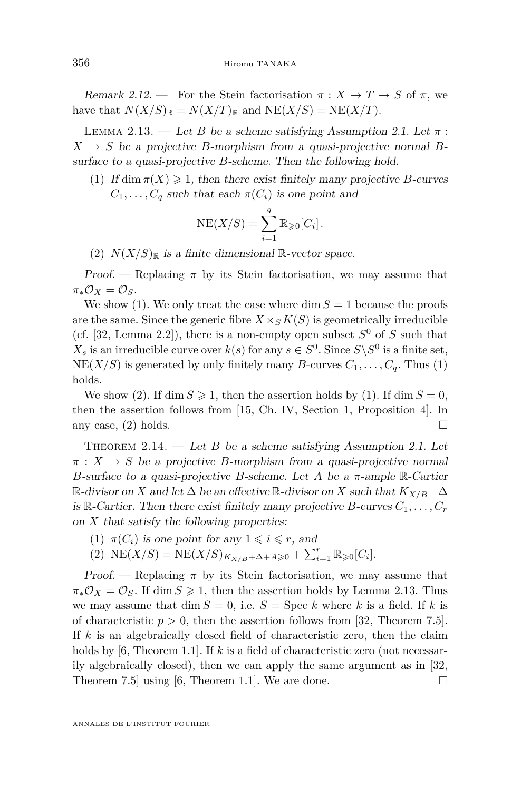Remark 2.12. — For the Stein factorisation  $\pi : X \to T \to S$  of  $\pi$ , we have that  $N(X/S)_{\mathbb{R}} = N(X/T)_{\mathbb{R}}$  and  $N E(X/S) = N E(X/T)$ .

<span id="page-12-2"></span>LEMMA 2.13. — Let *B* be a scheme satisfying Assumption [2.1.](#page-6-0) Let  $\pi$ :  $X \rightarrow S$  be a projective *B*-morphism from a quasi-projective normal *B*surface to a quasi-projective *B*-scheme. Then the following hold.

<span id="page-12-0"></span>(1) If dim  $\pi(X) \geq 1$ , then there exist finitely many projective *B*-curves  $C_1, \ldots, C_q$  such that each  $\pi(C_i)$  is one point and

$$
NE(X/S) = \sum_{i=1}^{q} \mathbb{R}_{\geqslant 0}[C_i].
$$

<span id="page-12-1"></span>(2)  $N(X/S)_\mathbb{R}$  is a finite dimensional  $\mathbb{R}$ -vector space.

Proof. — Replacing  $\pi$  by its Stein factorisation, we may assume that  $\pi_* \mathcal{O}_X = \mathcal{O}_S$ .

We show [\(1\)](#page-12-0). We only treat the case where  $\dim S = 1$  because the proofs are the same. Since the generic fibre  $X \times_S K(S)$  is geometrically irreducible (cf. [\[32,](#page-31-16) Lemma 2.2]), there is a non-empty open subset  $S^0$  of *S* such that  $X_s$  is an irreducible curve over  $k(s)$  for any  $s \in S^0$ . Since  $S \backslash S^0$  is a finite set,  $NE(X/S)$  is generated by only finitely many *B*-curves  $C_1, \ldots, C_q$ . Thus [\(1\)](#page-12-0) holds.

We show [\(2\)](#page-12-1). If dim  $S \ge 1$ , then the assertion holds by [\(1\)](#page-12-0). If dim  $S = 0$ , then the assertion follows from [\[15,](#page-31-15) Ch. IV, Section 1, Proposition 4]. In any case,  $(2)$  holds.

<span id="page-12-3"></span>THEOREM 2.14. — Let *B* be a scheme satisfying Assumption [2.1.](#page-6-0) Let  $\pi$  :  $X \to S$  be a projective *B*-morphism from a quasi-projective normal *B*-surface to a quasi-projective *B*-scheme. Let *A* be a *π*-ample R-Cartier  $\mathbb{R}$ -divisor on *X* and let  $\Delta$  be an effective  $\mathbb{R}$ -divisor on *X* such that  $K_{X/B} + \Delta$ is R-Cartier. Then there exist finitely many projective  $B$ -curves  $C_1, \ldots, C_r$ on *X* that satisfy the following properties:

- (1)  $\pi(C_i)$  is one point for any  $1 \leq i \leq r$ , and
- $(\text{2}) \ \overline{\text{NE}}(X/S) = \overline{\text{NE}}(X/S)_{K_{X/B}+\Delta+A\geqslant 0} + \sum_{i=1}^{r} \mathbb{R}_{\geqslant 0}[C_i].$

*Proof.* — Replacing  $\pi$  by its Stein factorisation, we may assume that  $\pi_* \mathcal{O}_X = \mathcal{O}_S$ . If dim  $S \geq 1$ , then the assertion holds by Lemma [2.13.](#page-12-2) Thus we may assume that  $\dim S = 0$ , i.e.  $S = \text{Spec } k$  where k is a field. If k is of characteristic  $p > 0$ , then the assertion follows from [\[32,](#page-31-16) Theorem 7.5]. If *k* is an algebraically closed field of characteristic zero, then the claim holds by [\[6,](#page-30-0) Theorem 1.1]. If *k* is a field of characteristic zero (not necessarily algebraically closed), then we can apply the same argument as in [\[32,](#page-31-16) Theorem 7.5 using [\[6,](#page-30-0) Theorem 1.1]. We are done.  $\square$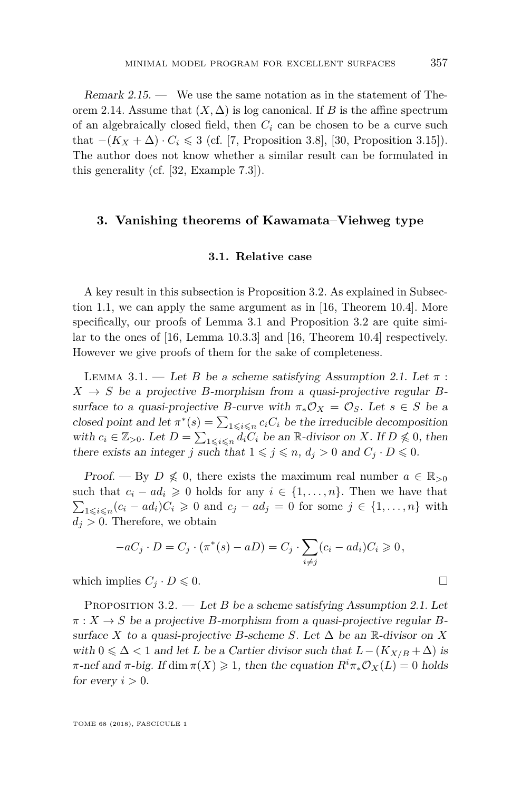Remark 2.15. — We use the same notation as in the statement of The-orem [2.14.](#page-12-3) Assume that  $(X, \Delta)$  is log canonical. If *B* is the affine spectrum of an algebraically closed field, then *C<sup>i</sup>* can be chosen to be a curve such that  $-(K_X + \Delta) \cdot C_i \leq 3$  (cf. [\[7,](#page-30-8) Proposition 3.8], [\[30,](#page-31-2) Proposition 3.15]). The author does not know whether a similar result can be formulated in this generality (cf. [\[32,](#page-31-16) Example 7.3]).

#### <span id="page-13-2"></span>**3. Vanishing theorems of Kawamata–Viehweg type**

#### **3.1. Relative case**

A key result in this subsection is Proposition [3.2.](#page-13-0) As explained in Subsection [1.1,](#page-3-2) we can apply the same argument as in [\[16,](#page-31-3) Theorem 10.4]. More specifically, our proofs of Lemma [3.1](#page-13-1) and Proposition [3.2](#page-13-0) are quite similar to the ones of [\[16,](#page-31-3) Lemma 10.3.3] and [\[16,](#page-31-3) Theorem 10.4] respectively. However we give proofs of them for the sake of completeness.

<span id="page-13-1"></span>LEMMA 3.1. — Let *B* be a scheme satisfying Assumption [2.1.](#page-6-0) Let  $\pi$ :  $X \rightarrow S$  be a projective *B*-morphism from a quasi-projective regular *B*surface to a quasi-projective *B*-curve with  $\pi_* \mathcal{O}_X = \mathcal{O}_S$ . Let  $s \in S$  be a closed point and let  $\pi^*(s) = \sum_{1 \leq i \leq n} c_i C_i$  be the irreducible decomposition with  $c_i \in \mathbb{Z}_{>0}$ . Let  $D = \sum_{1 \leq i \leq n} d_i \tilde{C}_i$  be an  $\mathbb{R}$ -divisor on *X*. If  $D \nleq 0$ , then there exists an integer *j* such that  $1 \leq j \leq n$ ,  $d_j > 0$  and  $C_j \cdot D \leq 0$ .

Proof. — By  $D \nleq 0$ , there exists the maximum real number  $a \in \mathbb{R}_{>0}$ such that  $c_i - ad_i \geq 0$  holds for any  $i \in \{1, ..., n\}$ . Then we have that  $\sum_{1 \leq i \leq n} (c_i - ad_i)C_i \geq 0$  and  $c_j - ad_j = 0$  for some  $j \in \{1, ..., n\}$  with  $d_i > 0$ . Therefore, we obtain

$$
-aC_j \cdot D = C_j \cdot (\pi^*(s) - aD) = C_j \cdot \sum_{i \neq j} (c_i - ad_i)C_i \geq 0,
$$

which implies  $C_j \cdot D \leq 0$ .

<span id="page-13-0"></span>PROPOSITION 3.2. — Let *B* be a scheme satisfying Assumption [2.1.](#page-6-0) Let  $\pi$  :  $X \to S$  be a projective *B*-morphism from a quasi-projective regular *B*surface *X* to a quasi-projective *B*-scheme *S*. Let  $\Delta$  be an R-divisor on *X* with  $0 \leq \Delta < 1$  and let *L* be a Cartier divisor such that  $L - (K_{X/B} + \Delta)$  is *π*-nef and *π*-big. If dim  $\pi(X) \ge 1$ , then the equation  $R^i \pi_* \mathcal{O}_X(L) = 0$  holds for every  $i > 0$ .

TOME 68 (2018), FASCICULE 1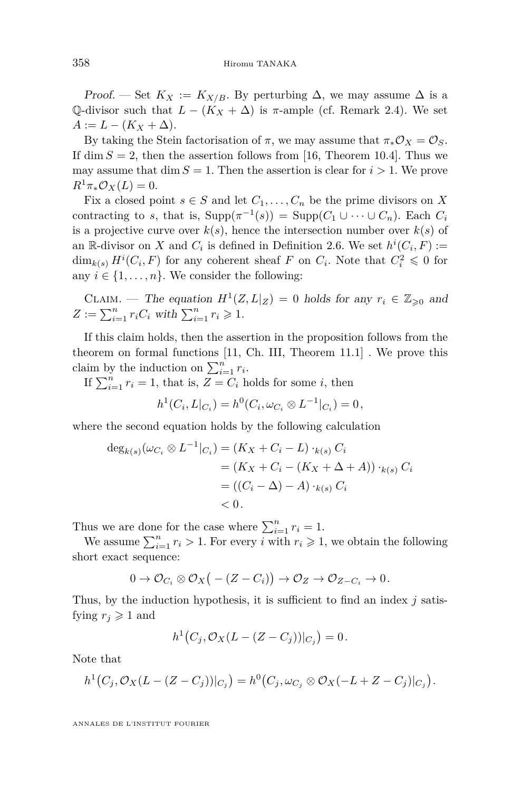Proof. — Set  $K_X := K_{X/B}$ . By perturbing  $\Delta$ , we may assume  $\Delta$  is a Q-divisor such that  $L - (K_X + \Delta)$  is  $\pi$ -ample (cf. Remark [2.4\)](#page-7-3). We set  $A := L - (K_X + \Delta).$ 

By taking the Stein factorisation of  $\pi$ , we may assume that  $\pi_* \mathcal{O}_X = \mathcal{O}_S$ . If dim  $S = 2$ , then the assertion follows from [\[16,](#page-31-3) Theorem 10.4]. Thus we may assume that dim  $S = 1$ . Then the assertion is clear for  $i > 1$ . We prove  $R^1\pi_*\mathcal{O}_X(L) = 0.$ 

Fix a closed point  $s \in S$  and let  $C_1, \ldots, C_n$  be the prime divisors on X contracting to *s*, that is,  $\text{Supp}(\pi^{-1}(s)) = \text{Supp}(C_1 \cup \cdots \cup C_n)$ . Each  $C_i$ is a projective curve over  $k(s)$ , hence the intersection number over  $k(s)$  of an  $\mathbb{R}$ -divisor on *X* and  $C_i$  is defined in Definition [2.6.](#page-9-0) We set  $h^i(C_i, F) :=$  $\dim_{k(s)} H^i(C_i, F)$  for any coherent sheaf *F* on  $C_i$ . Note that  $C_i^2 \leq 0$  for any  $i \in \{1, \ldots, n\}$ . We consider the following:

CLAIM. — The equation 
$$
H^1(Z, L|_Z) = 0
$$
 holds for any  $r_i \in \mathbb{Z}_{\geq 0}$  and  $Z := \sum_{i=1}^n r_i C_i$  with  $\sum_{i=1}^n r_i \geq 1$ .

If this claim holds, then the assertion in the proposition follows from the theorem on formal functions [\[11,](#page-30-6) Ch. III, Theorem 11.1] . We prove this claim by the induction on  $\sum_{i=1}^{n} r_i$ .

If  $\sum_{i=1}^{n} r_i = 1$ , that is,  $Z = C_i$  holds for some *i*, then

 $h^1(C_i, L|_{C_i}) = h^0(C_i, \omega_{C_i} \otimes L^{-1}|_{C_i}) = 0,$ 

where the second equation holds by the following calculation

$$
\deg_{k(s)}(\omega_{C_i} \otimes L^{-1}|_{C_i}) = (K_X + C_i - L) \cdot_{k(s)} C_i
$$
  
=  $(K_X + C_i - (K_X + \Delta + A)) \cdot_{k(s)} C_i$   
=  $((C_i - \Delta) - A) \cdot_{k(s)} C_i$   
< 0.

Thus we are done for the case where  $\sum_{i=1}^{n} r_i = 1$ .

We assume  $\sum_{i=1}^{n} r_i > 1$ . For every *i* with  $r_i \geq 1$ , we obtain the following short exact sequence:

$$
0\to \mathcal{O}_{C_i}\otimes \mathcal{O}_X\big(-(Z-C_i)\big)\to \mathcal{O}_Z\to \mathcal{O}_{Z-C_i}\to 0\,.
$$

Thus, by the induction hypothesis, it is sufficient to find an index *j* satisfying  $r_i \geq 1$  and

$$
h^{1}(C_{j}, \mathcal{O}_{X}(L - (Z - C_{j}))|_{C_{j}}) = 0.
$$

Note that

$$
h^1(C_j, \mathcal{O}_X(L-(Z-C_j))|_{C_j})=h^0(C_j, \omega_{C_j}\otimes \mathcal{O}_X(-L+Z-C_j)|_{C_j}).
$$

ANNALES DE L'INSTITUT FOURIER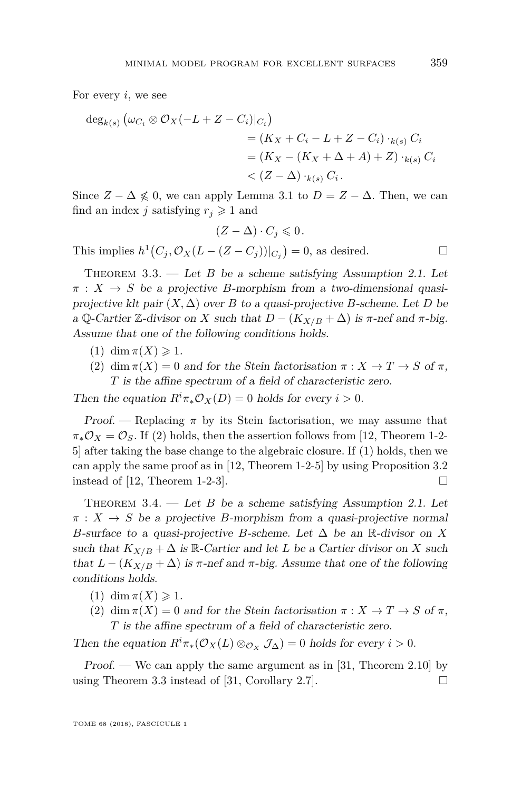For every *i*, we see

$$
\deg_{k(s)} (\omega_{C_i} \otimes \mathcal{O}_X(-L+Z-C_i)|_{C_i})
$$
  
=  $(K_X + C_i - L + Z - C_i) \cdot_{k(s)} C_i$   
=  $(K_X - (K_X + \Delta + A) + Z) \cdot_{k(s)} C_i$   
<  $(Z - \Delta) \cdot_{k(s)} C_i$ .

Since  $Z - \Delta \nleq 0$ , we can apply Lemma [3.1](#page-13-1) to  $D = Z - \Delta$ . Then, we can find an index *j* satisfying  $r_j \geq 1$  and

$$
(Z-\Delta)\cdot C_j\leqslant 0\,.
$$

This implies  $h^1(C_j, \mathcal{O}_X(L - (Z - C_j))|_{C_j}) = 0$ , as desired.

<span id="page-15-0"></span>THEOREM  $3.3.$  — Let *B* be a scheme satisfying Assumption [2.1.](#page-6-0) Let  $\pi$  :  $X \rightarrow S$  be a projective *B*-morphism from a two-dimensional quasiprojective klt pair  $(X, \Delta)$  over *B* to a quasi-projective *B*-scheme. Let *D* be a Q-Cartier Z-divisor on *X* such that  $D - (K_{X/B} + \Delta)$  is  $\pi$ -nef and  $\pi$ -big. Assume that one of the following conditions holds.

- <span id="page-15-2"></span> $(1)$  dim  $\pi(X) \geqslant 1$ .
- <span id="page-15-1"></span>(2) dim  $\pi(X) = 0$  and for the Stein factorisation  $\pi: X \to T \to S$  of  $\pi$ , *T* is the affine spectrum of a field of characteristic zero.

Then the equation  $R^i \pi_* \mathcal{O}_X(D) = 0$  holds for every  $i > 0$ .

Proof. — Replacing  $\pi$  by its Stein factorisation, we may assume that  $\pi_*\mathcal{O}_X = \mathcal{O}_S$ . If [\(2\)](#page-15-1) holds, then the assertion follows from [\[12,](#page-31-6) Theorem 1-2-5] after taking the base change to the algebraic closure. If [\(1\)](#page-15-2) holds, then we can apply the same proof as in [\[12,](#page-31-6) Theorem 1-2-5] by using Proposition [3.2](#page-13-0) instead of [\[12,](#page-31-6) Theorem 1-2-3].  $\Box$ 

<span id="page-15-3"></span>THEOREM  $3.4.$  — Let *B* be a scheme satisfying Assumption [2.1.](#page-6-0) Let  $\pi$  :  $X \to S$  be a projective *B*-morphism from a quasi-projective normal *B*-surface to a quasi-projective *B*-scheme. Let  $\Delta$  be an R-divisor on *X* such that  $K_{X/B} + \Delta$  is R-Cartier and let *L* be a Cartier divisor on *X* such that  $L - (K_{X/B} + \Delta)$  is  $\pi$ -nef and  $\pi$ -big. Assume that one of the following conditions holds.

- $(1)$  dim  $\pi(X) \geq 1$ .
- (2) dim  $\pi(X) = 0$  and for the Stein factorisation  $\pi: X \to T \to S$  of  $\pi$ , *T* is the affine spectrum of a field of characteristic zero.

Then the equation  $R^i \pi_*(\mathcal{O}_X(L) \otimes_{\mathcal{O}_X} \mathcal{J}_\Delta) = 0$  holds for every  $i > 0$ .

*Proof.* — We can apply the same argument as in [\[31,](#page-31-5) Theorem 2.10] by using Theorem [3.3](#page-15-0) instead of [\[31,](#page-31-5) Corollary 2.7].  $\Box$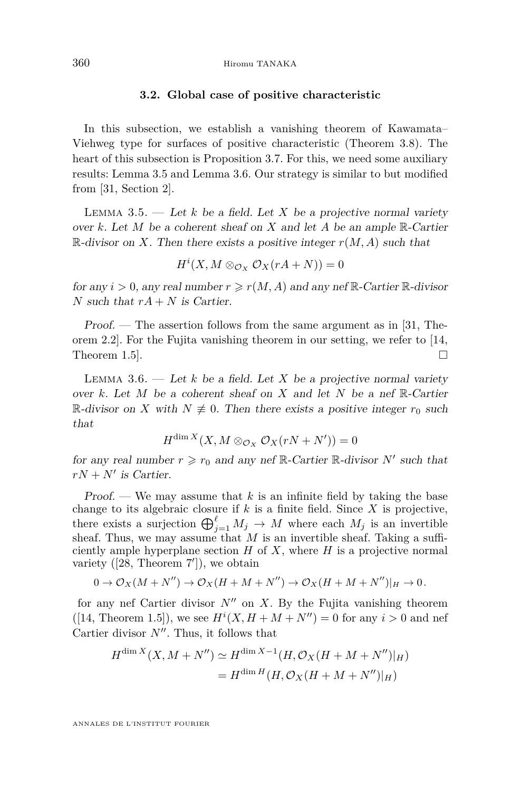#### **3.2. Global case of positive characteristic**

In this subsection, we establish a vanishing theorem of Kawamata– Viehweg type for surfaces of positive characteristic (Theorem [3.8\)](#page-18-0). The heart of this subsection is Proposition [3.7.](#page-17-0) For this, we need some auxiliary results: Lemma [3.5](#page-16-0) and Lemma [3.6.](#page-16-1) Our strategy is similar to but modified from [\[31,](#page-31-5) Section 2].

<span id="page-16-0"></span>LEMMA 3.5.  $\qquad$  Let *k* be a field. Let *X* be a projective normal variety over  $k$ . Let  $M$  be a coherent sheaf on  $X$  and let  $A$  be an ample  $\mathbb{R}$ -Cartier  $\mathbb{R}$ -divisor on *X*. Then there exists a positive integer  $r(M, A)$  such that

$$
H^i(X, M \otimes_{\mathcal{O}_X} \mathcal{O}_X(rA+N)) = 0
$$

for any  $i > 0$ , any real number  $r \ge r(M, A)$  and any nef R-Cartier R-divisor *N* such that  $rA + N$  is Cartier.

Proof. — The assertion follows from the same argument as in [\[31,](#page-31-5) Theorem 2.2]. For the Fujita vanishing theorem in our setting, we refer to [\[14,](#page-31-17) Theorem 1.5.

<span id="page-16-1"></span>LEMMA 3.6.  $-$  Let *k* be a field. Let *X* be a projective normal variety over *k*. Let *M* be a coherent sheaf on *X* and let *N* be a nef R-Cartier R-divisor on *X* with *N*  $\neq$  0. Then there exists a positive integer  $r_0$  such that

$$
H^{\dim X}(X, M \otimes_{\mathcal{O}_X} \mathcal{O}_X(rN+N')) = 0
$$

for any real number  $r \ge r_0$  and any nef  $\mathbb{R}$ -Cartier  $\mathbb{R}$ -divisor  $N'$  such that  $rN + N'$  is Cartier.

Proof. — We may assume that  $k$  is an infinite field by taking the base change to its algebraic closure if  $k$  is a finite field. Since  $X$  is projective, there exists a surjection  $\bigoplus_{j=1}^{\ell} M_j \to M$  where each  $M_j$  is an invertible sheaf. Thus, we may assume that *M* is an invertible sheaf. Taking a sufficiently ample hyperplane section  $H$  of  $X$ , where  $H$  is a projective normal variety  $([28,$  $([28,$  Theorem  $7$ <sup>'</sup>]), we obtain

$$
0 \to \mathcal{O}_X(M + N'') \to \mathcal{O}_X(H + M + N'') \to \mathcal{O}_X(H + M + N'')|_H \to 0.
$$

for any nef Cartier divisor  $N''$  on X. By the Fujita vanishing theorem ([\[14,](#page-31-17) Theorem 1.5]), we see  $H^{i}(X, H + M + N'') = 0$  for any  $i > 0$  and nef Cartier divisor  $N''$ . Thus, it follows that

$$
H^{\dim X}(X, M + N'') \simeq H^{\dim X - 1}(H, \mathcal{O}_X(H + M + N'')|_H)
$$
  
=  $H^{\dim H}(H, \mathcal{O}_X(H + M + N'')|_H)$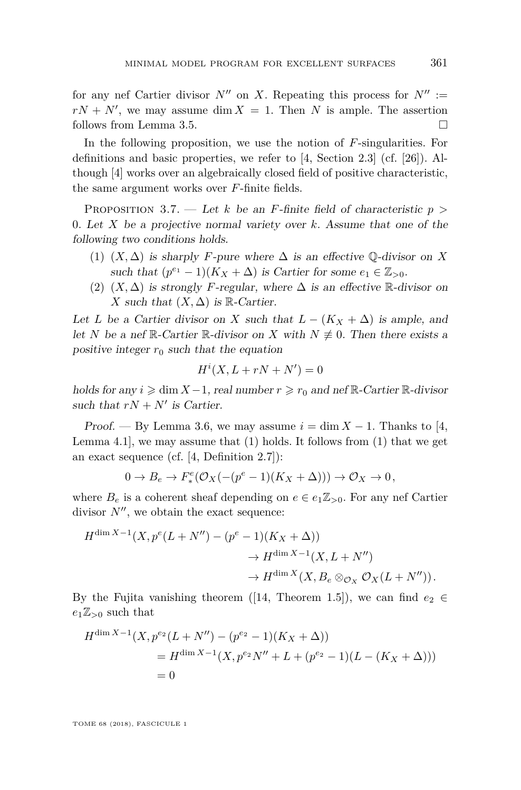for any nef Cartier divisor  $N''$  on *X*. Repeating this process for  $N'' :=$  $rN + N'$ , we may assume dim  $X = 1$ . Then *N* is ample. The assertion follows from Lemma [3.5.](#page-16-0)

In the following proposition, we use the notion of *F*-singularities. For definitions and basic properties, we refer to [\[4,](#page-30-9) Section 2.3] (cf. [\[26\]](#page-31-19)). Although [\[4\]](#page-30-9) works over an algebraically closed field of positive characteristic, the same argument works over *F*-finite fields.

<span id="page-17-0"></span>Proposition 3.7. — Let *k* be an *F*-finite field of characteristic *p >* 0. Let *X* be a projective normal variety over *k*. Assume that one of the following two conditions holds.

- <span id="page-17-1"></span>(1)  $(X, \Delta)$  is sharply *F*-pure where  $\Delta$  is an effective  $\mathbb{Q}$ -divisor on X such that  $(p^{e_1} - 1)(K_X + \Delta)$  is Cartier for some  $e_1 \in \mathbb{Z}_{>0}$ .
- (2)  $(X, \Delta)$  is strongly *F*-regular, where  $\Delta$  is an effective R-divisor on *X* such that  $(X, \Delta)$  is R-Cartier.

Let *L* be a Cartier divisor on *X* such that  $L - (K_X + \Delta)$  is ample, and let *N* be a nef R-Cartier R-divisor on *X* with  $N \neq 0$ . Then there exists a positive integer  $r_0$  such that the equation

$$
H^i(X, L + rN + N') = 0
$$

holds for any  $i \geq \dim X - 1$ , real number  $r \geq r_0$  and nef  $\mathbb{R}$ -Cartier  $\mathbb{R}$ -divisor such that  $rN + N'$  is Cartier.

Proof. — By Lemma [3.6,](#page-16-1) we may assume  $i = \dim X - 1$ . Thanks to [\[4,](#page-30-9) Lemma 4.1, we may assume that  $(1)$  holds. It follows from  $(1)$  that we get an exact sequence (cf. [\[4,](#page-30-9) Definition 2.7]):

$$
0 \to B_e \to F_*^e(\mathcal{O}_X(-(p^e-1)(K_X+\Delta))) \to \mathcal{O}_X \to 0,
$$

where  $B_e$  is a coherent sheaf depending on  $e \in e_1 \mathbb{Z}_{\geq 0}$ . For any nef Cartier divisor  $N''$ , we obtain the exact sequence:

$$
H^{\dim X-1}(X, p^e(L+N'') - (p^e - 1)(K_X + \Delta))
$$
  

$$
\rightarrow H^{\dim X-1}(X, L+N'')
$$
  

$$
\rightarrow H^{\dim X}(X, B_e \otimes_{\mathcal{O}_X} \mathcal{O}_X(L+N'')).
$$

By the Fujita vanishing theorem ([\[14,](#page-31-17) Theorem 1.5]), we can find  $e_2 \in$ *e*1Z*<sup>&</sup>gt;*<sup>0</sup> such that

$$
H^{\dim X - 1}(X, p^{e_2}(L + N'') - (p^{e_2} - 1)(K_X + \Delta))
$$
  
=  $H^{\dim X - 1}(X, p^{e_2}N'' + L + (p^{e_2} - 1)(L - (K_X + \Delta)))$   
= 0

TOME 68 (2018), FASCICULE 1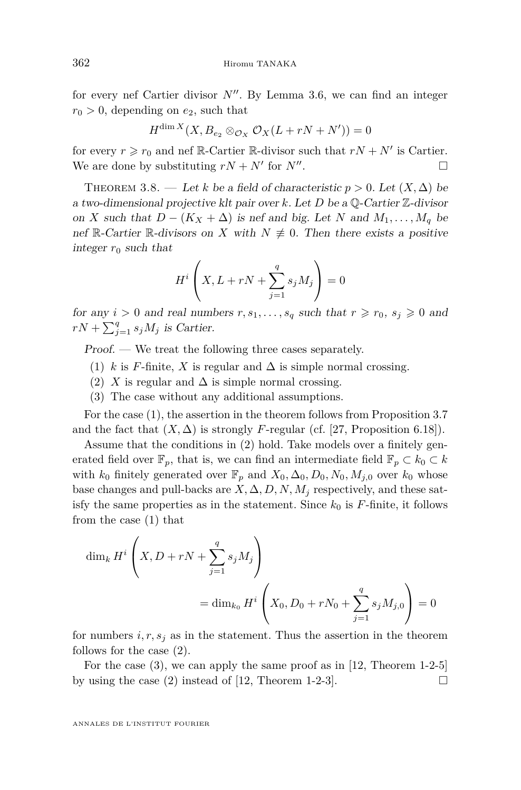for every nef Cartier divisor  $N''$ . By Lemma [3.6,](#page-16-1) we can find an integer  $r_0 > 0$ , depending on  $e_2$ , such that

$$
H^{\dim X}(X, B_{e_2} \otimes_{\mathcal{O}_X} \mathcal{O}_X(L + rN + N')) = 0
$$

for every  $r \ge r_0$  and nef R-Cartier R-divisor such that  $rN + N'$  is Cartier. We are done by substituting  $rN + N'$  for  $N''$ . — Первый процесс в постановки программа в серверном становки производительно становки производите с производ<br>В серверном становки производительно становки производительно становки производительно становки производительн

<span id="page-18-0"></span>THEOREM 3.8. — Let *k* be a field of characteristic  $p > 0$ . Let  $(X, \Delta)$  be a two-dimensional projective klt pair over *k*. Let *D* be a Q-Cartier Z-divisor on *X* such that  $D - (K_X + \Delta)$  is nef and big. Let *N* and  $M_1, \ldots, M_q$  be nef R-Cartier R-divisors on *X* with  $N \neq 0$ . Then there exists a positive integer  $r_0$  such that

$$
H^i\left(X, L + rN + \sum_{j=1}^q s_j M_j\right) = 0
$$

for any  $i > 0$  and real numbers  $r, s_1, \ldots, s_q$  such that  $r \ge r_0, s_j \ge 0$  and  $rN + \sum_{j=1}^{q} s_j M_j$  is Cartier.

Proof. — We treat the following three cases separately.

- <span id="page-18-1"></span>(1) *k* is *F*-finite, *X* is regular and  $\Delta$  is simple normal crossing.
- <span id="page-18-2"></span>(2) *X* is regular and  $\Delta$  is simple normal crossing.
- <span id="page-18-3"></span>(3) The case without any additional assumptions.

For the case [\(1\)](#page-18-1), the assertion in the theorem follows from Proposition [3.7](#page-17-0) and the fact that  $(X, \Delta)$  is strongly *F*-regular (cf. [\[27,](#page-31-20) Proposition 6.18]).

Assume that the conditions in [\(2\)](#page-18-2) hold. Take models over a finitely generated field over  $\mathbb{F}_p$ , that is, we can find an intermediate field  $\mathbb{F}_p \subset k_0 \subset k$ with  $k_0$  finitely generated over  $\mathbb{F}_p$  and  $X_0, \Delta_0, D_0, N_0, M_{j,0}$  over  $k_0$  whose base changes and pull-backs are  $X, \Delta, D, N, M_i$  respectively, and these satisfy the same properties as in the statement. Since  $k_0$  is  $F$ -finite, it follows from the case [\(1\)](#page-18-1) that

$$
\dim_k H^i \left( X, D + rN + \sum_{j=1}^q s_j M_j \right)
$$
  
= 
$$
\dim_{k_0} H^i \left( X_0, D_0 + rN_0 + \sum_{j=1}^q s_j M_{j,0} \right) = 0
$$

for numbers  $i, r, s_j$  as in the statement. Thus the assertion in the theorem follows for the case [\(2\)](#page-18-2).

For the case [\(3\)](#page-18-3), we can apply the same proof as in [\[12,](#page-31-6) Theorem 1-2-5] by using the case [\(2\)](#page-18-2) instead of [\[12,](#page-31-6) Theorem 1-2-3].  $\Box$ 

ANNALES DE L'INSTITUT FOURIER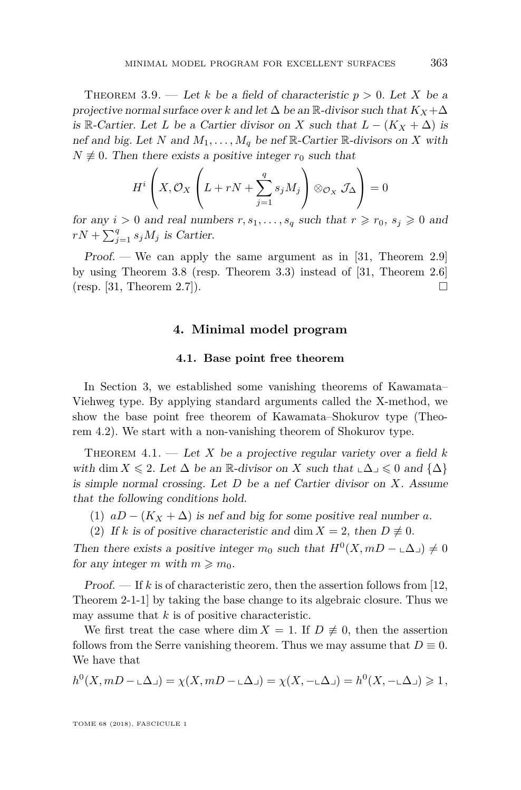<span id="page-19-0"></span>THEOREM 3.9. — Let *k* be a field of characteristic  $p > 0$ . Let *X* be a projective normal surface over *k* and let  $\Delta$  be an  $\mathbb{R}$ -divisor such that  $K_X + \Delta$ is R-Cartier. Let *L* be a Cartier divisor on *X* such that  $L - (K_X + \Delta)$  is nef and big. Let *N* and  $M_1, \ldots, M_q$  be nef  $\mathbb{R}$ -Cartier  $\mathbb{R}$ -divisors on *X* with  $N \neq 0$ . Then there exists a positive integer  $r_0$  such that

$$
H^i\left(X, \mathcal{O}_X\left(L + rN + \sum_{j=1}^q s_j M_j\right) \otimes_{\mathcal{O}_X} \mathcal{J}_\Delta\right) = 0
$$

for any  $i > 0$  and real numbers  $r, s_1, \ldots, s_q$  such that  $r \ge r_0, s_j \ge 0$  and  $rN + \sum_{j=1}^{q} s_j M_j$  is Cartier.

Proof. — We can apply the same argument as in [\[31,](#page-31-5) Theorem 2.9] by using Theorem [3.8](#page-18-0) (resp. Theorem [3.3\)](#page-15-0) instead of [\[31,](#page-31-5) Theorem 2.6]  $(\text{resp. } [31, \text{ Theorem } 2.7]).$  $(\text{resp. } [31, \text{ Theorem } 2.7]).$  $(\text{resp. } [31, \text{ Theorem } 2.7]).$ 

#### **4. Minimal model program**

#### **4.1. Base point free theorem**

In Section [3,](#page-13-2) we established some vanishing theorems of Kawamata– Viehweg type. By applying standard arguments called the X-method, we show the base point free theorem of Kawamata–Shokurov type (Theorem [4.2\)](#page-20-0). We start with a non-vanishing theorem of Shokurov type.

<span id="page-19-1"></span>THEOREM  $4.1.$  — Let *X* be a projective regular variety over a field *k* with dim  $X \leq 2$ . Let  $\Delta$  be an R-divisor on X such that  $\Delta \leq 0$  and  $\{\Delta\}$ is simple normal crossing. Let *D* be a nef Cartier divisor on *X*. Assume that the following conditions hold.

- (1)  $aD (K_X + \Delta)$  is nef and big for some positive real number *a*.
- (2) If *k* is of positive characteristic and dim  $X = 2$ , then  $D \neq 0$ .

Then there exists a positive integer  $m_0$  such that  $H^0(X, mD - \mathcal{L}\Delta) \neq 0$ for any integer *m* with  $m \geq m_0$ .

Proof. — If *k* is of characteristic zero, then the assertion follows from [\[12,](#page-31-6) Theorem 2-1-1] by taking the base change to its algebraic closure. Thus we may assume that *k* is of positive characteristic.

We first treat the case where dim  $X = 1$ . If  $D \neq 0$ , then the assertion follows from the Serre vanishing theorem. Thus we may assume that  $D \equiv 0$ . We have that

$$
h^0(X, mD-\text{L}\Delta\text{L})=\chi(X, mD-\text{L}\Delta\text{L})=\chi(X, -\text{L}\Delta\text{L})=h^0(X, -\text{L}\Delta\text{L})\geq 1,
$$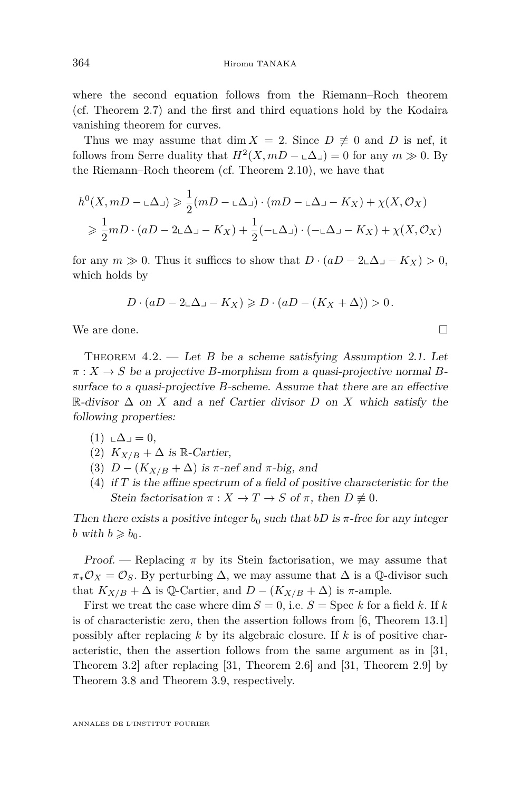where the second equation follows from the Riemann–Roch theorem (cf. Theorem [2.7\)](#page-10-2) and the first and third equations hold by the Kodaira vanishing theorem for curves.

Thus we may assume that dim  $X = 2$ . Since  $D \neq 0$  and  $D$  is nef, it follows from Serre duality that  $H^2(X, mD - \Delta) = 0$  for any  $m \gg 0$ . By the Riemann–Roch theorem (cf. Theorem [2.10\)](#page-10-5), we have that

$$
h^{0}(X, mD - \mathbf{L}\Delta) \geq \frac{1}{2}(mD - \mathbf{L}\Delta) \cdot (mD - \mathbf{L}\Delta - K_{X}) + \chi(X, \mathcal{O}_{X})
$$
  
\n
$$
\geq \frac{1}{2}mD \cdot (aD - 2\mathbf{L}\Delta - K_{X}) + \frac{1}{2}(-\mathbf{L}\Delta) \cdot (-\mathbf{L}\Delta - K_{X}) + \chi(X, \mathcal{O}_{X})
$$

for any  $m \gg 0$ . Thus it suffices to show that  $D \cdot (aD - 2\Delta - K_X) > 0$ , which holds by

$$
D \cdot (aD - 2\mathbf{L}\Delta \mathbf{L} - K_X) \geqslant D \cdot (aD - (K_X + \Delta)) > 0.
$$

We are done.  $\Box$ 

<span id="page-20-0"></span>THEOREM  $4.2.$  — Let *B* be a scheme satisfying Assumption [2.1.](#page-6-0) Let  $\pi$  :  $X \to S$  be a projective *B*-morphism from a quasi-projective normal *B*surface to a quasi-projective *B*-scheme. Assume that there are an effective R-divisor ∆ on *X* and a nef Cartier divisor *D* on *X* which satisfy the following properties:

- $(1) \Delta \square = 0,$
- (2)  $K_{X/B} + \Delta$  is R-Cartier,
- (3)  $D (K_{X/B} + \Delta)$  is  $\pi$ -nef and  $\pi$ -big, and
- <span id="page-20-1"></span>(4) if *T* is the affine spectrum of a field of positive characteristic for the Stein factorisation  $\pi : X \to T \to S$  of  $\pi$ , then  $D \not\equiv 0$ .

Then there exists a positive integer  $b_0$  such that  $bD$  is  $\pi$ -free for any integer *b* with  $b \ge b_0$ .

Proof. — Replacing  $\pi$  by its Stein factorisation, we may assume that  $\pi_*\mathcal{O}_X = \mathcal{O}_S$ . By perturbing  $\Delta$ , we may assume that  $\Delta$  is a Q-divisor such that  $K_{X/B} + \Delta$  is Q-Cartier, and  $D - (K_{X/B} + \Delta)$  is  $\pi$ -ample.

First we treat the case where dim  $S = 0$ , i.e.  $S = \text{Spec } k$  for a field k. If k is of characteristic zero, then the assertion follows from [\[6,](#page-30-0) Theorem 13.1] possibly after replacing *k* by its algebraic closure. If *k* is of positive characteristic, then the assertion follows from the same argument as in [\[31,](#page-31-5) Theorem 3.2] after replacing [\[31,](#page-31-5) Theorem 2.6] and [\[31,](#page-31-5) Theorem 2.9] by Theorem [3.8](#page-18-0) and Theorem [3.9,](#page-19-0) respectively.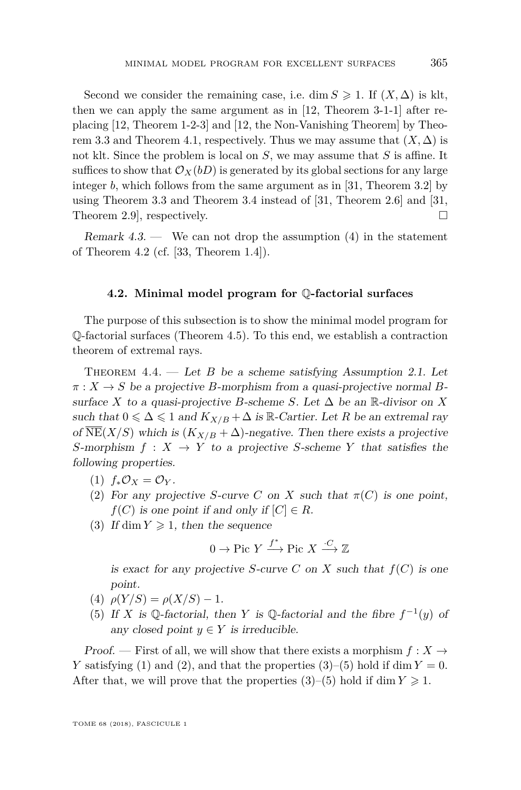Second we consider the remaining case, i.e. dim  $S \geq 1$ . If  $(X, \Delta)$  is klt, then we can apply the same argument as in [\[12,](#page-31-6) Theorem 3-1-1] after replacing [\[12,](#page-31-6) Theorem 1-2-3] and [\[12,](#page-31-6) the Non-Vanishing Theorem] by Theo-rem [3.3](#page-15-0) and Theorem [4.1,](#page-19-1) respectively. Thus we may assume that  $(X, \Delta)$  is not klt. Since the problem is local on *S*, we may assume that *S* is affine. It suffices to show that  $\mathcal{O}_X(bD)$  is generated by its global sections for any large integer *b*, which follows from the same argument as in [\[31,](#page-31-5) Theorem 3.2] by using Theorem [3.3](#page-15-0) and Theorem [3.4](#page-15-3) instead of [\[31,](#page-31-5) Theorem 2.6] and [\[31,](#page-31-5) Theorem 2.9, respectively. □

Remark  $4.3.$  — We can not drop the assumption  $(4)$  in the statement of Theorem [4.2](#page-20-0) (cf. [\[33,](#page-32-0) Theorem 1.4]).

#### **4.2. Minimal model program for** Q**-factorial surfaces**

The purpose of this subsection is to show the minimal model program for  $\mathbb{Q}$ -factorial surfaces (Theorem [4.5\)](#page-22-0). To this end, we establish a contraction theorem of extremal rays.

<span id="page-21-5"></span>THEOREM  $4.4.$  — Let *B* be a scheme satisfying Assumption [2.1.](#page-6-0) Let *π* : *X* → *S* be a projective *B*-morphism from a quasi-projective normal *B*surface *X* to a quasi-projective *B*-scheme *S*. Let  $\Delta$  be an R-divisor on *X* such that  $0 \leq \Delta \leq 1$  and  $K_{X/B} + \Delta$  is R-Cartier. Let R be an extremal ray of  $\overline{\text{NE}}(X/S)$  which is  $(K_{X/B} + \Delta)$ -negative. Then there exists a projective *S*-morphism  $f: X \to Y$  to a projective *S*-scheme *Y* that satisfies the following properties.

- <span id="page-21-0"></span>(1) *f*∗O*<sup>X</sup>* = O*<sup>Y</sup>* .
- <span id="page-21-1"></span>(2) For any projective *S*-curve *C* on *X* such that  $\pi(C)$  is one point,  $f(C)$  is one point if and only if  $[C] \in R$ .
- <span id="page-21-2"></span>(3) If dim  $Y \geq 1$ , then the sequence

$$
0 \to \text{Pic } Y \xrightarrow{f^*} \text{Pic } X \xrightarrow{\cdot C} \mathbb{Z}
$$

is exact for any projective *S*-curve *C* on *X* such that  $f(C)$  is one point.

- <span id="page-21-4"></span>(4)  $\rho(Y/S) = \rho(X/S) - 1.$
- <span id="page-21-3"></span>(5) If *X* is Q-factorial, then *Y* is Q-factorial and the fibre  $f^{-1}(y)$  of any closed point  $y \in Y$  is irreducible.

Proof. — First of all, we will show that there exists a morphism  $f: X \to Y$ *Y* satisfying [\(1\)](#page-21-0) and [\(2\)](#page-21-1), and that the properties  $(3)$ – $(5)$  hold if dim  $Y = 0$ . After that, we will prove that the properties  $(3)-(5)$  $(3)-(5)$  $(3)-(5)$  hold if dim  $Y \geq 1$ .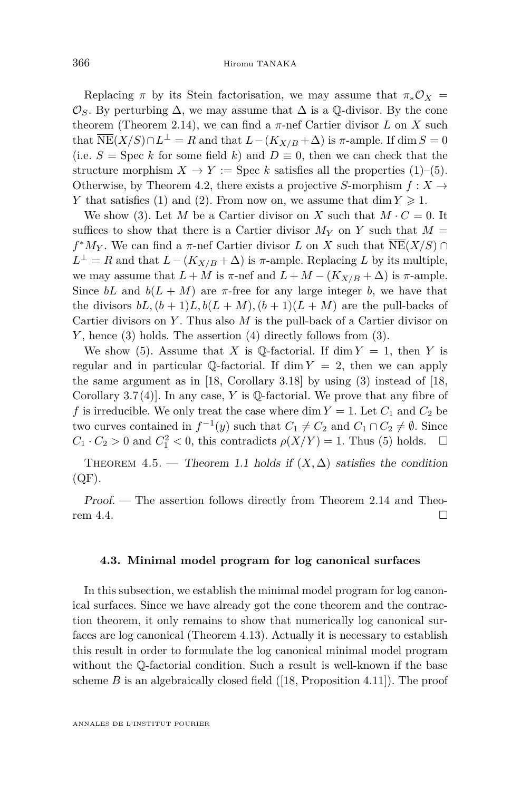Replacing  $\pi$  by its Stein factorisation, we may assume that  $\pi_* \mathcal{O}_X =$  $\mathcal{O}_S$ . By perturbing  $\Delta$ , we may assume that  $\Delta$  is a  $\mathbb{Q}$ -divisor. By the cone theorem (Theorem [2.14\)](#page-12-3), we can find a  $\pi$ -nef Cartier divisor  $L$  on  $X$  such that  $\overline{\text{NE}}(X/S) \cap L^{\perp} = R$  and that  $L - (K_{X/B} + \Delta)$  is  $\pi$ -ample. If dim  $S = 0$ (i.e.  $S = \text{Spec } k$  for some field k) and  $D \equiv 0$ , then we can check that the structure morphism  $X \to Y := \text{Spec } k$  satisfies all the properties [\(1\)](#page-21-0)–[\(5\)](#page-21-3). Otherwise, by Theorem [4.2,](#page-20-0) there exists a projective *S*-morphism  $f: X \rightarrow$ *Y* that satisfies [\(1\)](#page-21-0) and [\(2\)](#page-21-1). From now on, we assume that dim  $Y \ge 1$ .

We show [\(3\)](#page-21-2). Let *M* be a Cartier divisor on *X* such that  $M \cdot C = 0$ . It suffices to show that there is a Cartier divisor  $M_Y$  on *Y* such that  $M =$  $f^*M_Y$ . We can find a *π*-nef Cartier divisor *L* on *X* such that  $\overline{\text{NE}}(X/S) \cap$  $L^{\perp} = R$  and that  $L - (K_{X/B} + \Delta)$  is  $\pi$ -ample. Replacing *L* by its multiple, we may assume that  $L + M$  is  $\pi$ -nef and  $L + M - (K_{X/B} + \Delta)$  is  $\pi$ -ample. Since  $bL$  and  $b(L + M)$  are  $\pi$ -free for any large integer *b*, we have that the divisors  $bL$ ,  $(b+1)L$ ,  $b(L+M)$ ,  $(b+1)(L+M)$  are the pull-backs of Cartier divisors on *Y* . Thus also *M* is the pull-back of a Cartier divisor on *Y* , hence [\(3\)](#page-21-2) holds. The assertion [\(4\)](#page-21-4) directly follows from [\(3\)](#page-21-2).

We show [\(5\)](#page-21-3). Assume that *X* is Q-factorial. If dim  $Y = 1$ , then *Y* is regular and in particular Q-factorial. If  $\dim Y = 2$ , then we can apply the same argument as in [\[18,](#page-31-12) Corollary 3.18] by using [\(3\)](#page-21-2) instead of [\[18,](#page-31-12) Corollary 3.7 (4)]. In any case, *Y* is Q-factorial. We prove that any fibre of f is irreducible. We only treat the case where dim  $Y = 1$ . Let  $C_1$  and  $C_2$  be two curves contained in  $f^{-1}(y)$  such that  $C_1 \neq C_2$  and  $C_1 \cap C_2 \neq \emptyset$ . Since  $C_1 \cdot C_2 > 0$  and  $C_1^2 < 0$ , this contradicts  $\rho(X/Y) = 1$ . Thus [\(5\)](#page-21-3) holds.  $\Box$ 

<span id="page-22-0"></span>THEOREM 4.5. — Theorem [1.1](#page-1-0) holds if  $(X, \Delta)$  satisfies the condition  $(QF)$ .

Proof. — The assertion follows directly from Theorem [2.14](#page-12-3) and Theo-rem [4.4.](#page-21-5)

#### **4.3. Minimal model program for log canonical surfaces**

In this subsection, we establish the minimal model program for log canonical surfaces. Since we have already got the cone theorem and the contraction theorem, it only remains to show that numerically log canonical surfaces are log canonical (Theorem [4.13\)](#page-25-0). Actually it is necessary to establish this result in order to formulate the log canonical minimal model program without the Q-factorial condition. Such a result is well-known if the base scheme  $B$  is an algebraically closed field  $([18, Proposition 4.11])$  $([18, Proposition 4.11])$  $([18, Proposition 4.11])$ . The proof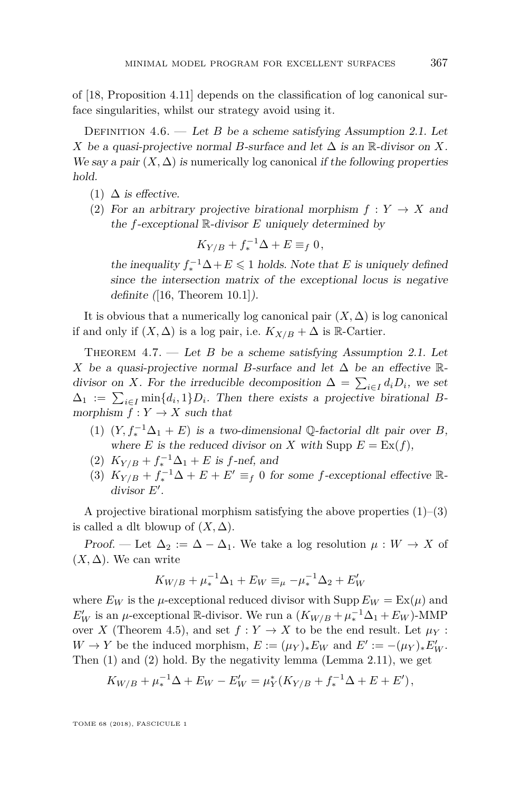of [\[18,](#page-31-12) Proposition 4.11] depends on the classification of log canonical surface singularities, whilst our strategy avoid using it.

DEFINITION  $4.6.$  — Let *B* be a scheme satisfying Assumption [2.1.](#page-6-0) Let *X* be a quasi-projective normal *B*-surface and let  $\Delta$  is an R-divisor on *X*. We say a pair  $(X, \Delta)$  is numerically log canonical if the following properties hold.

- (1)  $\Delta$  is effective.
- (2) For an arbitrary projective birational morphism  $f: Y \to X$  and the *f*-exceptional R-divisor *E* uniquely determined by

$$
K_{Y/B} + f_*^{-1} \Delta + E \equiv_f 0,
$$

the inequality  $f_*^{-1}\Delta + E \leq 1$  holds. Note that *E* is uniquely defined since the intersection matrix of the exceptional locus is negative definite  $([16, Theorem 10.1]).$  $([16, Theorem 10.1]).$  $([16, Theorem 10.1]).$ 

It is obvious that a numerically log canonical pair  $(X, \Delta)$  is log canonical if and only if  $(X, \Delta)$  is a log pair, i.e.  $K_{X/B} + \Delta$  is R-Cartier.

<span id="page-23-3"></span>THEOREM  $4.7.$  — Let *B* be a scheme satisfying Assumption [2.1.](#page-6-0) Let *X* be a quasi-projective normal *B*-surface and let  $\Delta$  be an effective Rdivisor on *X*. For the irreducible decomposition  $\Delta = \sum_{i \in I} d_i D_i$ , we set  $\Delta_1 := \sum_{i \in I} \min\{d_i, 1\} D_i$ . Then there exists a projective birational *B*morphism  $f: Y \to X$  such that

- <span id="page-23-0"></span>(1)  $(Y, f_*^{-1}\Delta_1 + E)$  is a two-dimensional Q-factorial dlt pair over *B*, where *E* is the reduced divisor on *X* with Supp  $E = \text{Ex}(f)$ ,
- <span id="page-23-2"></span>(2)  $K_{Y/B} + f_*^{-1}\Delta_1 + E$  is *f*-nef, and
- <span id="page-23-1"></span>(3)  $K_{Y/B} + f_*^{-1}\Delta + E + E' \equiv_f 0$  for some *f*-exceptional effective Rdivisor E'.

A projective birational morphism satisfying the above properties  $(1)$ – $(3)$ is called a dlt blowup of  $(X, \Delta)$ .

Proof. — Let  $\Delta_2 := \Delta - \Delta_1$ . We take a log resolution  $\mu : W \to X$  of  $(X, \Delta)$ . We can write

$$
K_{W/B} + \mu_*^{-1} \Delta_1 + E_W \equiv_\mu - \mu_*^{-1} \Delta_2 + E'_W
$$

where  $E_W$  is the *µ*-exceptional reduced divisor with Supp  $E_W = \text{Ex}(\mu)$  and  $E_W'$  is an *µ*-exceptional R-divisor. We run a  $(K_{W/B} + \mu_*^{-1} \Delta_1 + E_W)$ -MMP over *X* (Theorem [4.5\)](#page-22-0), and set  $f: Y \to X$  to be the end result. Let  $\mu_Y$ :  $W \to Y$  be the induced morphism,  $E := (\mu_Y)_* E_W$  and  $E' := -(\mu_Y)_* E'_W$ . Then [\(1\)](#page-23-0) and [\(2\)](#page-23-2) hold. By the negativity lemma (Lemma [2.11\)](#page-11-1), we get

$$
K_{W/B} + \mu_*^{-1} \Delta + E_W - E'_W = \mu_Y^* (K_{Y/B} + f_*^{-1} \Delta + E + E'),
$$

TOME 68 (2018), FASCICULE 1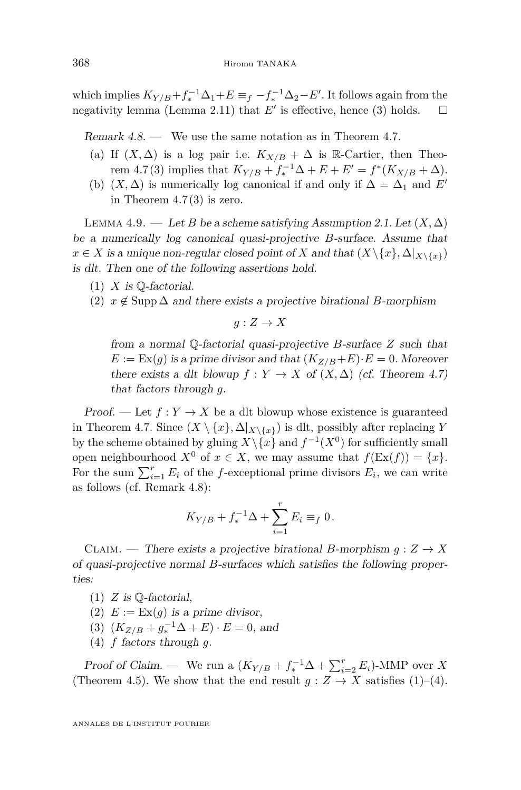which implies  $K_{Y/B} + f_*^{-1} \Delta_1 + E \equiv_f -f_*^{-1} \Delta_2 - E'.$  It follows again from the negativity lemma (Lemma [2.11\)](#page-11-1) that  $E'$  is effective, hence [\(3\)](#page-23-1) holds.  $\square$ 

<span id="page-24-0"></span>Remark  $4.8.$  — We use the same notation as in Theorem [4.7.](#page-23-3)

- (a) If  $(X, \Delta)$  is a log pair i.e.  $K_{X/B} + \Delta$  is R-Cartier, then Theo-rem [4.7](#page-23-3)[\(3\)](#page-23-1) implies that  $K_{Y/B} + f_*^{-1}\Delta + E + E' = f^*(K_{X/B} + \Delta)$ .
- (b)  $(X, \Delta)$  is numerically log canonical if and only if  $\Delta = \Delta_1$  and *E'* in Theorem  $4.7(3)$  $4.7(3)$  is zero.

<span id="page-24-5"></span>LEMMA 4.9. — Let *B* be a scheme satisfying Assumption [2.1.](#page-6-0) Let  $(X, \Delta)$ be a numerically log canonical quasi-projective *B*-surface. Assume that  $x \in X$  is a unique non-regular closed point of *X* and that  $(X \setminus \{x\}, \Delta |_{X \setminus \{x\}})$ is dlt. Then one of the following assertions hold.

- $(1)$  *X* is  $\mathbb{O}$ -factorial.
- <span id="page-24-6"></span>(2)  $x \notin \text{Supp } \Delta$  and there exists a projective birational *B*-morphism

$$
g: Z \to X
$$

from a normal Q-factorial quasi-projective *B*-surface *Z* such that  $E := \text{Ex}(g)$  is a prime divisor and that  $(K_{Z/B} + E) \cdot E = 0$ . Moreover there exists a dlt blowup  $f: Y \to X$  of  $(X, \Delta)$  (cf. Theorem [4.7\)](#page-23-3) that factors through *g*.

Proof. — Let  $f: Y \to X$  be a dlt blowup whose existence is guaranteed in Theorem [4.7.](#page-23-3) Since  $(X \setminus \{x\}, \Delta|_{X \setminus \{x\}})$  is dlt, possibly after replacing *Y* by the scheme obtained by gluing  $X \setminus \{x\}$  and  $f^{-1}(X^0)$  for sufficiently small open neighbourhood  $X^0$  of  $x \in X$ , we may assume that  $f(\text{Ex}(f)) = \{x\}.$ For the sum  $\sum_{i=1}^{r} E_i$  of the *f*-exceptional prime divisors  $E_i$ , we can write as follows (cf. Remark [4.8\)](#page-24-0):

$$
K_{Y/B} + f_*^{-1} \Delta + \sum_{i=1}^r E_i \equiv_f 0.
$$

CLAIM. — There exists a projective birational *B*-morphism  $g: Z \to X$ of quasi-projective normal *B*-surfaces which satisfies the following properties:

- <span id="page-24-1"></span> $(1)$  *Z* is Q-factorial,
- <span id="page-24-3"></span>(2)  $E := \text{Ex}(g)$  is a prime divisor,
- <span id="page-24-4"></span>(3)  $(K_{Z/B} + g_*^{-1}\Delta + E) \cdot E = 0$ , and
- <span id="page-24-2"></span>(4) *f* factors through *g*.

Proof of Claim. — We run a  $(K_{Y/B} + f_*^{-1}\Delta + \sum_{i=2}^r E_i)$ -MMP over X (Theorem [4.5\)](#page-22-0). We show that the end result  $g: Z \to X$  satisfies [\(1\)](#page-24-1)–[\(4\)](#page-24-2).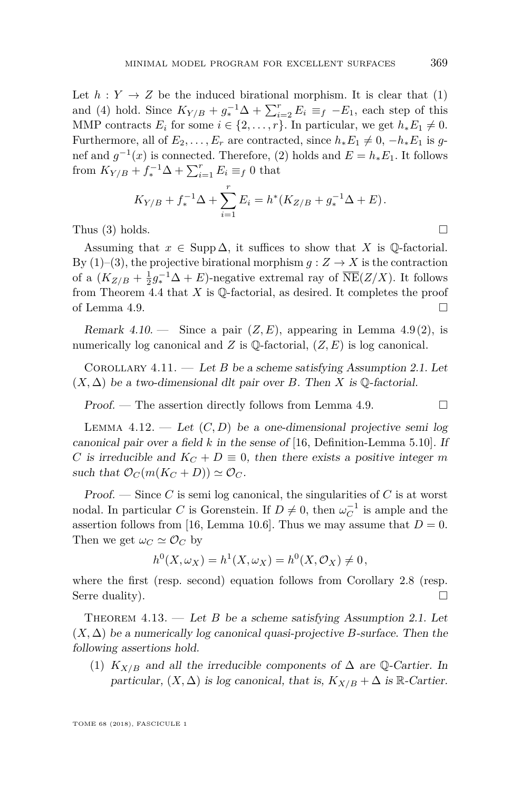Let  $h: Y \to Z$  be the induced birational morphism. It is clear that [\(1\)](#page-24-1) and [\(4\)](#page-24-2) hold. Since  $K_{Y/B} + g_*^{-1}\Delta + \sum_{i=2}^r E_i \equiv_f -E_1$ , each step of this MMP contracts  $E_i$  for some  $i \in \{2, \ldots, r\}$ . In particular, we get  $h_* E_1 \neq 0$ . Furthermore, all of  $E_2, \ldots, E_r$  are contracted, since  $h_* E_1 \neq 0, -h_* E_1$  is gnef and  $g^{-1}(x)$  is connected. Therefore, [\(2\)](#page-24-3) holds and  $E = h_* E_1$ . It follows from  $K_{Y/B} + f_*^{-1}\Delta + \sum_{i=1}^r E_i \equiv_f 0$  that

$$
K_{Y/B} + f_*^{-1} \Delta + \sum_{i=1}^r E_i = h^* (K_{Z/B} + g_*^{-1} \Delta + E).
$$

Thus  $(3)$  holds.

Assuming that  $x \in \text{Supp } \Delta$ , it suffices to show that *X* is Q-factorial. By  $(1)$ – $(3)$ , the projective birational morphism  $g: Z \to X$  is the contraction of a  $(K_{Z/B} + \frac{1}{2}g_*^{-1}\Delta + E)$ -negative extremal ray of  $\overline{\text{NE}}(Z/X)$ . It follows from Theorem [4.4](#page-21-5) that  $X$  is  $\mathbb Q$ -factorial, as desired. It completes the proof of Lemma [4.9.](#page-24-5)

<span id="page-25-1"></span>Remark  $4.10.$  — Since a pair  $(Z, E)$ , appearing in Lemma  $4.9(2)$  $4.9(2)$ , is numerically log canonical and *Z* is  $\mathbb{Q}$ -factorial,  $(Z, E)$  is log canonical.

COROLLARY  $4.11.$  — Let *B* be a scheme satisfying Assumption [2.1.](#page-6-0) Let  $(X, \Delta)$  be a two-dimensional dlt pair over *B*. Then *X* is  $\mathbb{Q}$ -factorial.

Proof. — The assertion directly follows from Lemma [4.9.](#page-24-5)  $\Box$ 

<span id="page-25-2"></span>LEMMA  $4.12.$  — Let  $(C, D)$  be a one-dimensional projective semi log canonical pair over a field *k* in the sense of [\[16,](#page-31-3) Definition-Lemma 5.10]. If *C* is irreducible and  $K_C + D \equiv 0$ , then there exists a positive integer *m* such that  $\mathcal{O}_C(m(K_C+D)) \simeq \mathcal{O}_C$ .

Proof. — Since *C* is semi log canonical, the singularities of *C* is at worst nodal. In particular *C* is Gorenstein. If  $D \neq 0$ , then  $\omega_C^{-1}$  is ample and the assertion follows from [\[16,](#page-31-3) Lemma 10.6]. Thus we may assume that  $D=0$ . Then we get  $\omega_C \simeq \mathcal{O}_C$  by

$$
h^{0}(X, \omega_{X}) = h^{1}(X, \omega_{X}) = h^{0}(X, \mathcal{O}_{X}) \neq 0,
$$

where the first (resp. second) equation follows from Corollary [2.8](#page-10-3) (resp. Serre duality).

<span id="page-25-0"></span>Theorem 4.13. — Let *B* be a scheme satisfying Assumption [2.1.](#page-6-0) Let (*X,* ∆) be a numerically log canonical quasi-projective *B*-surface. Then the following assertions hold.

(1)  $K_{X/B}$  and all the irreducible components of  $\Delta$  are Q-Cartier. In particular,  $(X, \Delta)$  is log canonical, that is,  $K_{X/B} + \Delta$  is R-Cartier.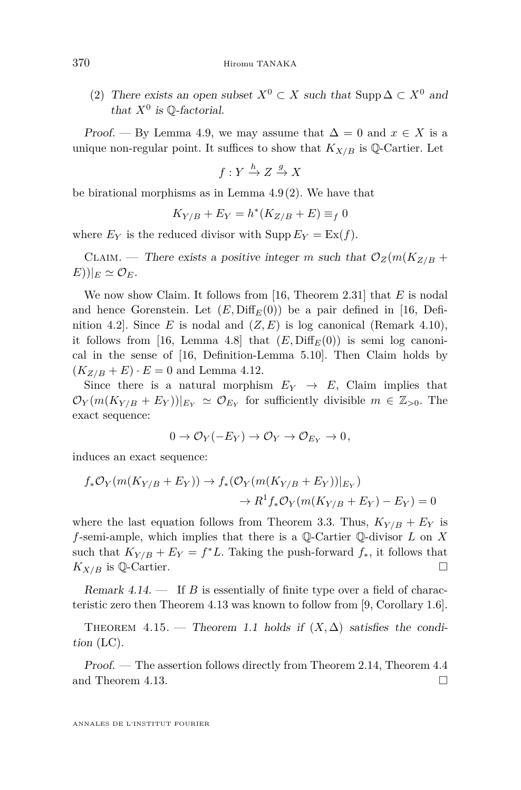(2) There exists an open subset  $X^0 \subset X$  such that Supp  $\Delta \subset X^0$  and that  $X^0$  is  $\mathbb Q$ -factorial.

Proof. — By Lemma [4.9,](#page-24-5) we may assume that  $\Delta = 0$  and  $x \in X$  is a unique non-regular point. It suffices to show that  $K_{X/B}$  is Q-Cartier. Let

$$
f: Y \xrightarrow{h} Z \xrightarrow{g} X
$$

be birational morphisms as in Lemma [4.9](#page-24-5)[\(2\)](#page-24-6). We have that

$$
K_{Y/B} + E_Y = h^*(K_{Z/B} + E) \equiv_f 0
$$

where  $E_Y$  is the reduced divisor with  $\text{Supp}\,E_Y = \text{Ex}(f)$ .

CLAIM. — There exists a positive integer *m* such that  $\mathcal{O}_Z(m(K_{Z/B} +$  $E))|_E \simeq \mathcal{O}_E.$ 

We now show Claim. It follows from [\[16,](#page-31-3) Theorem 2.31] that *E* is nodal and hence Gorenstein. Let  $(E, \text{Diff}_E(0))$  be a pair defined in [\[16,](#page-31-3) Definition 4.2. Since *E* is nodal and  $(Z, E)$  is log canonical (Remark [4.10\)](#page-25-1), it follows from [\[16,](#page-31-3) Lemma 4.8] that  $(E, Diff_E(0))$  is semi log canonical in the sense of [\[16,](#page-31-3) Definition-Lemma 5.10]. Then Claim holds by  $(K_{Z/B} + E) \cdot E = 0$  and Lemma [4.12.](#page-25-2)

Since there is a natural morphism  $E_Y \to E$ , Claim implies that  $\mathcal{O}_Y(m(K_{Y/B} + E_Y))|_{E_Y} \simeq \mathcal{O}_{E_Y}$  for sufficiently divisible  $m \in \mathbb{Z}_{>0}$ . The exact sequence:

$$
0 \to \mathcal{O}_Y(-E_Y) \to \mathcal{O}_Y \to \mathcal{O}_{E_Y} \to 0,
$$

induces an exact sequence:

$$
f_*\mathcal{O}_Y(m(K_{Y/B} + E_Y)) \to f_*(\mathcal{O}_Y(m(K_{Y/B} + E_Y))|_{E_Y})
$$
  

$$
\to R^1 f_*\mathcal{O}_Y(m(K_{Y/B} + E_Y) - E_Y) = 0
$$

where the last equation follows from Theorem [3.3.](#page-15-0) Thus,  $K_{Y/B} + E_Y$  is *f*-semi-ample, which implies that there is a Q-Cartier Q-divisor *L* on *X* such that  $K_{Y/B} + E_Y = f^*L$ . Taking the push-forward  $f_*$ , it follows that  $K_{X/B}$  is Q-Cartier.

Remark 4.14. — If *B* is essentially of finite type over a field of characteristic zero then Theorem [4.13](#page-25-0) was known to follow from [\[9,](#page-30-10) Corollary 1.6].

<span id="page-26-0"></span>THEOREM 4.15. — Theorem [1.1](#page-1-0) holds if  $(X, \Delta)$  satisfies the condition [\(LC\)](#page-2-0).

Proof. — The assertion follows directly from Theorem [2.14,](#page-12-3) Theorem [4.4](#page-21-5) and Theorem [4.13.](#page-25-0)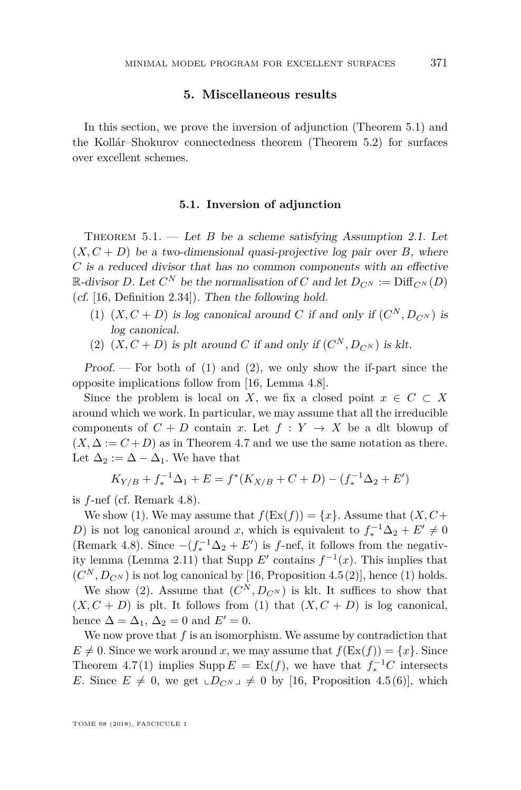#### **5. Miscellaneous results**

In this section, we prove the inversion of adjunction (Theorem [5.1\)](#page-27-0) and the Kollár–Shokurov connectedness theorem (Theorem [5.2\)](#page-28-0) for surfaces over excellent schemes.

#### **5.1. Inversion of adjunction**

<span id="page-27-0"></span>THEOREM  $5.1.$  — Let *B* be a scheme satisfying Assumption [2.1.](#page-6-0) Let  $(X, C + D)$  be a two-dimensional quasi-projective log pair over *B*, where *C* is a reduced divisor that has no common components with an effective  $\mathbb{R}\text{-divisor } D$ . Let  $C^N$  be the normalisation of  $C$  and let  $D_{C^N} := \text{Diff}_{C^N}(D)$ (cf. [\[16,](#page-31-3) Definition 2.34]). Then the following hold.

- <span id="page-27-1"></span>(1)  $(X, C + D)$  is log canonical around *C* if and only if  $(C^N, D_{C^N})$  is log canonical.
- <span id="page-27-2"></span>(2)  $(X, C + D)$  is plt around *C* if and only if  $(C^N, D_{C^N})$  is klt.

Proof.  $\sim$  For both of [\(1\)](#page-27-1) and [\(2\)](#page-27-2), we only show the if-part since the opposite implications follow from [\[16,](#page-31-3) Lemma 4.8].

Since the problem is local on *X*, we fix a closed point  $x \in C \subset X$ around which we work. In particular, we may assume that all the irreducible components of  $C + D$  contain *x*. Let  $f : Y \to X$  be a dlt blowup of  $(X, \Delta := C + D)$  as in Theorem [4.7](#page-23-3) and we use the same notation as there. Let  $\Delta_2 := \Delta - \Delta_1$ . We have that

$$
K_{Y/B} + f_*^{-1} \Delta_1 + E = f^*(K_{X/B} + C + D) - (f_*^{-1} \Delta_2 + E')
$$

is *f*-nef (cf. Remark [4.8\)](#page-24-0).

We show [\(1\)](#page-27-1). We may assume that  $f(\text{Ex}(f)) = \{x\}$ . Assume that  $(X, C+)$ *D*) is not log canonical around *x*, which is equivalent to  $f_*^{-1}\Delta_2 + E' \neq 0$ (Remark [4.8\)](#page-24-0). Since  $-(f_*^{-1}\Delta_2 + E')$  is *f*-nef, it follows from the negativ-ity lemma (Lemma [2.11\)](#page-11-1) that Supp  $E'$  contains  $f^{-1}(x)$ . This implies that  $(C^N, D_{C^N})$  is not log canonical by [\[16,](#page-31-3) Proposition 4.5(2)], hence [\(1\)](#page-27-1) holds.

We show [\(2\)](#page-27-2). Assume that  $(C^N, D_{C^N})$  is klt. It suffices to show that  $(X, C + D)$  is plt. It follows from [\(1\)](#page-27-1) that  $(X, C + D)$  is log canonical, hence  $\Delta = \Delta_1$ ,  $\Delta_2 = 0$  and  $E' = 0$ .

We now prove that *f* is an isomorphism. We assume by contradiction that  $E \neq 0$ . Since we work around *x*, we may assume that  $f(\text{Ex}(f)) = \{x\}$ . Since Theorem [4.7](#page-23-3)[\(1\)](#page-23-0) implies Supp  $E = \text{Ex}(f)$ , we have that  $f_*^{-1}C$  intersects *E*. Since  $E \neq 0$ , we get  $\Box D_{C^{N-1}} \neq 0$  by [\[16,](#page-31-3) Proposition 4.5(6)], which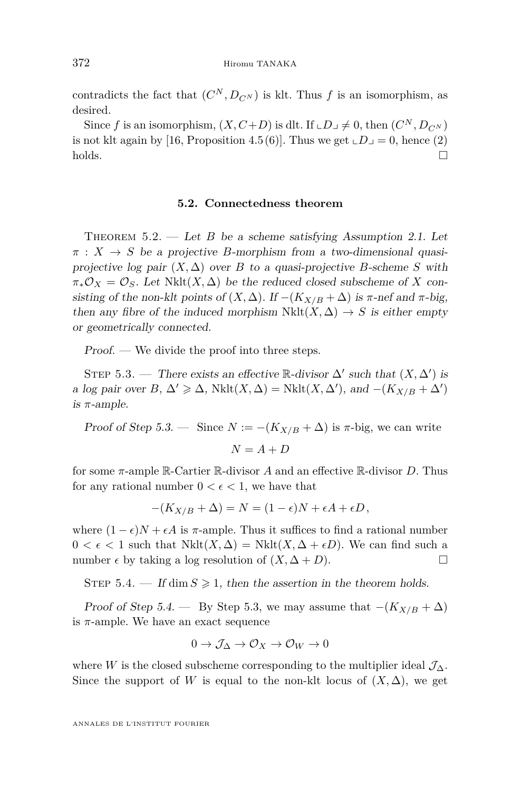contradicts the fact that  $(C^N, D_{C^N})$  is klt. Thus *f* is an isomorphism, as desired.

Since *f* is an isomorphism,  $(X, C+D)$  is dlt. If  $\mathcal{L}D \mathcal{L} \neq 0$ , then  $(C^N, D_{C^N})$ is not klt again by [\[16,](#page-31-3) Proposition 4.5(6)]. Thus we get  $\Box D = 0$ , hence [\(2\)](#page-27-2)  $\Box$ holds.

#### **5.2. Connectedness theorem**

<span id="page-28-0"></span>THEOREM  $5.2.$  — Let *B* be a scheme satisfying Assumption [2.1.](#page-6-0) Let  $\pi$  :  $X \rightarrow S$  be a projective *B*-morphism from a two-dimensional quasiprojective log pair  $(X, \Delta)$  over *B* to a quasi-projective *B*-scheme *S* with  $\pi_* \mathcal{O}_X = \mathcal{O}_S$ . Let Nklt $(X, \Delta)$  be the reduced closed subscheme of X consisting of the non-klt points of  $(X, \Delta)$ . If  $-(K_{X/B} + \Delta)$  is  $\pi$ -nef and  $\pi$ -big, then any fibre of the induced morphism  $Nklt(X, \Delta) \rightarrow S$  is either empty or geometrically connected.

Proof. — We divide the proof into three steps.

<span id="page-28-1"></span>STEP 5.3. — There exists an effective R-divisor  $\Delta'$  such that  $(X, \Delta')$  is a log pair over  $B, \Delta' \geq \Delta$ , Nklt $(X, \Delta) =$  Nklt $(X, \Delta')$ , and  $-(K_{X/B} + \Delta')$ is *π*-ample.

Proof of Step [5.3.](#page-28-1) — Since  $N := -(K_{X/B} + \Delta)$  is  $\pi$ -big, we can write  $N = A + D$ 

for some *π*-ample R-Cartier R-divisor *A* and an effective R-divisor *D*. Thus for any rational number  $0 < \epsilon < 1$ , we have that

$$
-(K_{X/B} + \Delta) = N = (1 - \epsilon)N + \epsilon A + \epsilon D,
$$

where  $(1 - \epsilon)N + \epsilon A$  is  $\pi$ -ample. Thus it suffices to find a rational number  $0 < \epsilon < 1$  such that  $Nklt(X, \Delta) = Nklt(X, \Delta + \epsilon D)$ . We can find such a number  $\epsilon$  by taking a log resolution of  $(X, \Delta + D)$ .

<span id="page-28-2"></span>STEP 5.4. — If dim  $S \geq 1$ , then the assertion in the theorem holds.

Proof of Step [5.4.](#page-28-2) — By Step [5.3,](#page-28-1) we may assume that  $-(K_{X/B} + \Delta)$ is *π*-ample. We have an exact sequence

$$
0 \to \mathcal{J}_\Delta \to \mathcal{O}_X \to \mathcal{O}_W \to 0
$$

where *W* is the closed subscheme corresponding to the multiplier ideal  $\mathcal{J}_{\Delta}$ . Since the support of *W* is equal to the non-klt locus of  $(X, \Delta)$ , we get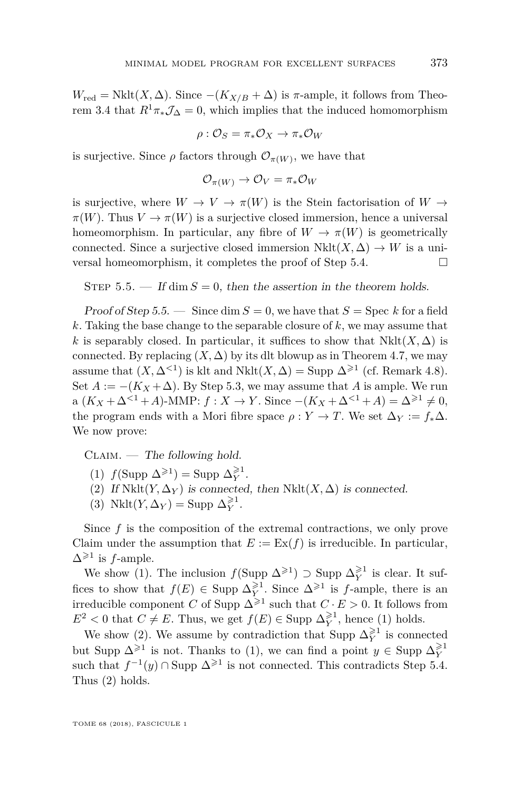$W_{\text{red}} = \text{Nklt}(X, \Delta)$ . Since  $-(K_{X/B} + \Delta)$  is  $\pi$ -ample, it follows from Theo-rem [3.4](#page-15-3) that  $R^1\pi_*\mathcal{J}_\Delta=0$ , which implies that the induced homomorphism

$$
\rho: {\mathcal O}_S = \pi_*{\mathcal O}_X \to \pi_*{\mathcal O}_W
$$

is surjective. Since  $\rho$  factors through  $\mathcal{O}_{\pi(W)}$ , we have that

$$
\mathcal{O}_{\pi(W)} \to \mathcal{O}_V = \pi_* \mathcal{O}_W
$$

is surjective, where  $W \to V \to \pi(W)$  is the Stein factorisation of  $W \to$  $\pi(W)$ . Thus  $V \to \pi(W)$  is a surjective closed immersion, hence a universal homeomorphism. In particular, any fibre of  $W \to \pi(W)$  is geometrically connected. Since a surjective closed immersion  $Nklt(X, \Delta) \rightarrow W$  is a universal homeomorphism, it completes the proof of Step [5.4.](#page-28-2)

<span id="page-29-0"></span>STEP  $5.5.$  — If dim  $S = 0$ , then the assertion in the theorem holds.

Proof of Step [5.5.](#page-29-0) — Since dim  $S = 0$ , we have that  $S = \text{Spec } k$  for a field *k*. Taking the base change to the separable closure of *k*, we may assume that *k* is separably closed. In particular, it suffices to show that  $Nklt(X, \Delta)$  is connected. By replacing  $(X, \Delta)$  by its dlt blowup as in Theorem [4.7,](#page-23-3) we may assume that  $(X, \Delta^{\leq 1})$  is klt and Nklt $(X, \Delta)$  = Supp  $\Delta^{\geq 1}$  (cf. Remark [4.8\)](#page-24-0). Set  $A := -(K_X + \Delta)$ . By Step [5.3,](#page-28-1) we may assume that A is ample. We run  $a (K_X + \Delta^{<1} + A)$ -MMP:  $f : X \to Y$ . Since  $-(K_X + \Delta^{<1} + A) = \Delta^{\geq 1} \neq 0$ , the program ends with a Mori fibre space  $\rho : Y \to T$ . We set  $\Delta_Y := f_* \Delta$ . We now prove:

 $CLAIM.$  — The following hold.

- <span id="page-29-1"></span>(1)  $f(\text{Supp }\Delta^{\geqslant 1}) = \text{Supp }\Delta^{\geqslant 1}_Y.$
- <span id="page-29-2"></span>(2) If  $Nklt(Y, \Delta_Y)$  is connected, then  $Nklt(X, \Delta)$  is connected.
- <span id="page-29-3"></span>(3) Nklt $(Y, \Delta_Y)$  = Supp  $\Delta_Y^{\geq 1}$ .

Since  $f$  is the composition of the extremal contractions, we only prove Claim under the assumption that  $E := \text{Ex}(f)$  is irreducible. In particular,  $\Delta^{\geqslant 1}$  is *f*-ample.

We show [\(1\)](#page-29-1). The inclusion  $f(\text{Supp }\Delta^{\geqslant 1}) \supset \text{Supp }\Delta_Y^{\geqslant 1}$  is clear. It suffices to show that  $f(E) \in \text{Supp } \Delta_Y^{\geq 1}$ . Since  $\Delta^{\geq 1}$  is *f*-ample, there is an irreducible component *C* of Supp  $\Delta^{\geqslant 1}$  such that  $C \cdot E > 0$ . It follows from  $E^2 < 0$  that  $C \neq E$ . Thus, we get  $f(E) \in \text{Supp } \Delta_Y^{\geq 1}$ , hence [\(1\)](#page-29-1) holds.

We show [\(2\)](#page-29-2). We assume by contradiction that Supp  $\Delta_Y^{\geq 1}$  is connected but Supp  $\Delta^{\geqslant 1}$  is not. Thanks to [\(1\)](#page-29-1), we can find a point  $y \in \text{Supp } \Delta_Y^{\geqslant 1}$ such that  $f^{-1}(y) \cap \text{Supp } \Delta^{\geq 1}$  is not connected. This contradicts Step [5.4.](#page-28-2) Thus [\(2\)](#page-29-2) holds.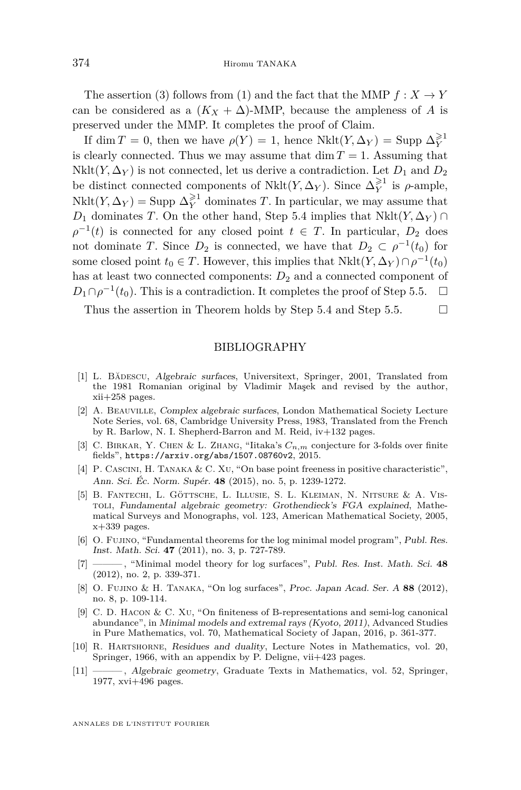The assertion [\(3\)](#page-29-3) follows from [\(1\)](#page-29-1) and the fact that the MMP  $f: X \to Y$ can be considered as a  $(K_X + \Delta)$ -MMP, because the ampleness of *A* is preserved under the MMP. It completes the proof of Claim.

If  $\dim T = 0$ , then we have  $\rho(Y) = 1$ , hence  $Nklt(Y, \Delta_Y) = \text{Supp }\Delta_Y^{\geq 1}$ is clearly connected. Thus we may assume that  $\dim T = 1$ . Assuming that Nklt( $Y, \Delta_Y$ ) is not connected, let us derive a contradiction. Let  $D_1$  and  $D_2$ be distinct connected components of  $Nklt(Y, \Delta_Y)$ . Since  $\Delta_Y^{\geq 1}$  is  $\rho$ -ample,  $Nklt(Y, \Delta_Y) = \text{Supp }\Delta_Y^{\geq 1}$  dominates *T*. In particular, we may assume that *D*<sub>1</sub> dominates *T*. On the other hand, Step [5.4](#page-28-2) implies that  $Nklt(Y, \Delta_Y)$  ∩  $\rho^{-1}(t)$  is connected for any closed point  $t \in T$ . In particular,  $D_2$  does not dominate *T*. Since  $D_2$  is connected, we have that  $D_2 \subset \rho^{-1}(t_0)$  for some closed point  $t_0 \in T$ . However, this implies that  $Nklt(Y, \Delta_Y) \cap \rho^{-1}(t_0)$ has at least two connected components:  $D_2$  and a connected component of  $D_1 \cap \rho^{-1}(t_0)$ . This is a contradiction. It completes the proof of Step [5.5.](#page-29-0)  $\Box$ 

Thus the assertion in Theorem holds by Step [5.4](#page-28-2) and Step [5.5.](#page-29-0)  $\Box$ 

#### BIBLIOGRAPHY

- <span id="page-30-3"></span>[1] L. Bădescu, Algebraic surfaces, Universitext, Springer, 2001, Translated from the 1981 Romanian original by Vladimir Maşek and revised by the author, xii+258 pages.
- <span id="page-30-2"></span>[2] A. Beauville, Complex algebraic surfaces, London Mathematical Society Lecture Note Series, vol. 68, Cambridge University Press, 1983, Translated from the French by R. Barlow, N. I. Shepherd-Barron and M. Reid, iv+132 pages.
- <span id="page-30-5"></span>[3] C. Birkar, Y. Chen & L. Zhang, "Iitaka's *Cn,m* conjecture for 3-folds over finite fields", <https://arxiv.org/abs/1507.08760v2>, 2015.
- <span id="page-30-9"></span>[4] P. CASCINI, H. TANAKA & C. XU, "On base point freeness in positive characteristic", Ann. Sci. Éc. Norm. Supér. **48** (2015), no. 5, p. 1239-1272.
- <span id="page-30-7"></span>[5] B. Fantechi, L. Göttsche, L. Illusie, S. L. Kleiman, N. Nitsure & A. Vistoli, Fundamental algebraic geometry: Grothendieck's FGA explained, Mathematical Surveys and Monographs, vol. 123, American Mathematical Society, 2005,  $x+339$  pages.
- <span id="page-30-0"></span>[6] O. FUJINO, "Fundamental theorems for the log minimal model program", Publ. Res. Inst. Math. Sci. **47** (2011), no. 3, p. 727-789.
- <span id="page-30-8"></span>[7] ——— , "Minimal model theory for log surfaces", Publ. Res. Inst. Math. Sci. **48** (2012), no. 2, p. 339-371.
- <span id="page-30-4"></span>[8] O. Fujino & H. Tanaka, "On log surfaces", Proc. Japan Acad. Ser. A **88** (2012), no. 8, p. 109-114.
- <span id="page-30-10"></span>[9] C. D. Hacon & C. Xu, "On finiteness of B-representations and semi-log canonical abundance", in Minimal models and extremal rays (Kyoto, 2011), Advanced Studies in Pure Mathematics, vol. 70, Mathematical Society of Japan, 2016, p. 361-377.
- <span id="page-30-1"></span>[10] R. Hartshorne, Residues and duality, Lecture Notes in Mathematics, vol. 20, Springer, 1966, with an appendix by P. Deligne, vii+423 pages.
- <span id="page-30-6"></span>[11] ——— , Algebraic geometry, Graduate Texts in Mathematics, vol. 52, Springer, 1977, xvi+496 pages.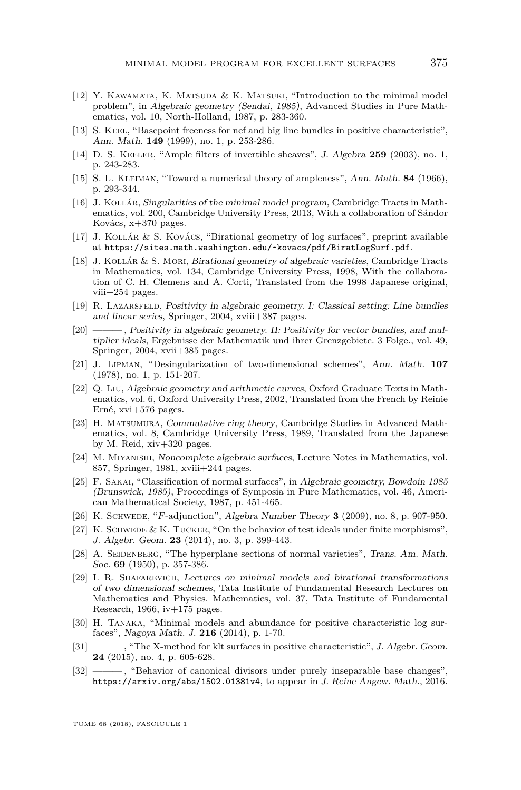- <span id="page-31-6"></span>[12] Y. KAWAMATA, K. MATSUDA & K. MATSUKI, "Introduction to the minimal model problem", in Algebraic geometry (Sendai, 1985), Advanced Studies in Pure Mathematics, vol. 10, North-Holland, 1987, p. 283-360.
- <span id="page-31-9"></span>[13] S. KEEL, "Basepoint freeness for nef and big line bundles in positive characteristic", Ann. Math. **149** (1999), no. 1, p. 253-286.
- <span id="page-31-17"></span>[14] D. S. Keeler, "Ample filters of invertible sheaves", J. Algebra **259** (2003), no. 1, p. 243-283.
- <span id="page-31-15"></span>[15] S. L. Kleiman, "Toward a numerical theory of ampleness", Ann. Math. **84** (1966), p. 293-344.
- <span id="page-31-3"></span>[16] J. Kollár, Singularities of the minimal model program, Cambridge Tracts in Mathematics, vol. 200, Cambridge University Press, 2013, With a collaboration of Sándor Kovács, x+370 pages.
- <span id="page-31-1"></span>[17] J. Kollár & S. Kovács, "Birational geometry of log surfaces", preprint available at <https://sites.math.washington.edu/~kovacs/pdf/BiratLogSurf.pdf>.
- <span id="page-31-12"></span>[18] J. Kollár & S. Mori, Birational geometry of algebraic varieties, Cambridge Tracts in Mathematics, vol. 134, Cambridge University Press, 1998, With the collaboration of C. H. Clemens and A. Corti, Translated from the 1998 Japanese original, viii+254 pages.
- <span id="page-31-13"></span>[19] R. Lazarsfeld, Positivity in algebraic geometry. I: Classical setting: Line bundles and linear series, Springer, 2004, xviii+387 pages.
- <span id="page-31-14"></span>[20] ——— , Positivity in algebraic geometry. II: Positivity for vector bundles, and multiplier ideals, Ergebnisse der Mathematik und ihrer Grenzgebiete. 3 Folge., vol. 49, Springer, 2004, xvii+385 pages.
- <span id="page-31-4"></span>[21] J. Lipman, "Desingularization of two-dimensional schemes", Ann. Math. **107** (1978), no. 1, p. 151-207.
- <span id="page-31-11"></span>[22] Q. Liu, Algebraic geometry and arithmetic curves, Oxford Graduate Texts in Mathematics, vol. 6, Oxford University Press, 2002, Translated from the French by Reinie Erné, xvi+576 pages.
- <span id="page-31-10"></span>[23] H. Matsumura, Commutative ring theory, Cambridge Studies in Advanced Mathematics, vol. 8, Cambridge University Press, 1989, Translated from the Japanese by M. Reid, xiv+320 pages.
- <span id="page-31-7"></span>[24] M. Miyanishi, Noncomplete algebraic surfaces, Lecture Notes in Mathematics, vol. 857, Springer, 1981, xviii+244 pages.
- <span id="page-31-8"></span>[25] F. Sakai, "Classification of normal surfaces", in Algebraic geometry, Bowdoin 1985 (Brunswick, 1985), Proceedings of Symposia in Pure Mathematics, vol. 46, American Mathematical Society, 1987, p. 451-465.
- <span id="page-31-19"></span>[26] K. Schwede, "*F*-adjunction", Algebra Number Theory **3** (2009), no. 8, p. 907-950.
- <span id="page-31-20"></span>[27] K. SCHWEDE & K. TUCKER, "On the behavior of test ideals under finite morphisms". J. Algebr. Geom. **23** (2014), no. 3, p. 399-443.
- <span id="page-31-18"></span>[28] A. SEIDENBERG, "The hyperplane sections of normal varieties", Trans. Am. Math. Soc. **69** (1950), p. 357-386.
- <span id="page-31-0"></span>[29] I. R. Shafarevich, Lectures on minimal models and birational transformations of two dimensional schemes, Tata Institute of Fundamental Research Lectures on Mathematics and Physics. Mathematics, vol. 37, Tata Institute of Fundamental Research, 1966,  $iv+175$  pages.
- <span id="page-31-2"></span>[30] H. TANAKA, "Minimal models and abundance for positive characteristic log surfaces", Nagoya Math. J. **216** (2014), p. 1-70.
- <span id="page-31-5"></span>[31] - The X-method for klt surfaces in positive characteristic", J. Algebr. Geom. **24** (2015), no. 4, p. 605-628.
- <span id="page-31-16"></span>[32] ——— , "Behavior of canonical divisors under purely inseparable base changes", <https://arxiv.org/abs/1502.01381v4>, to appear in J. Reine Angew. Math., 2016.